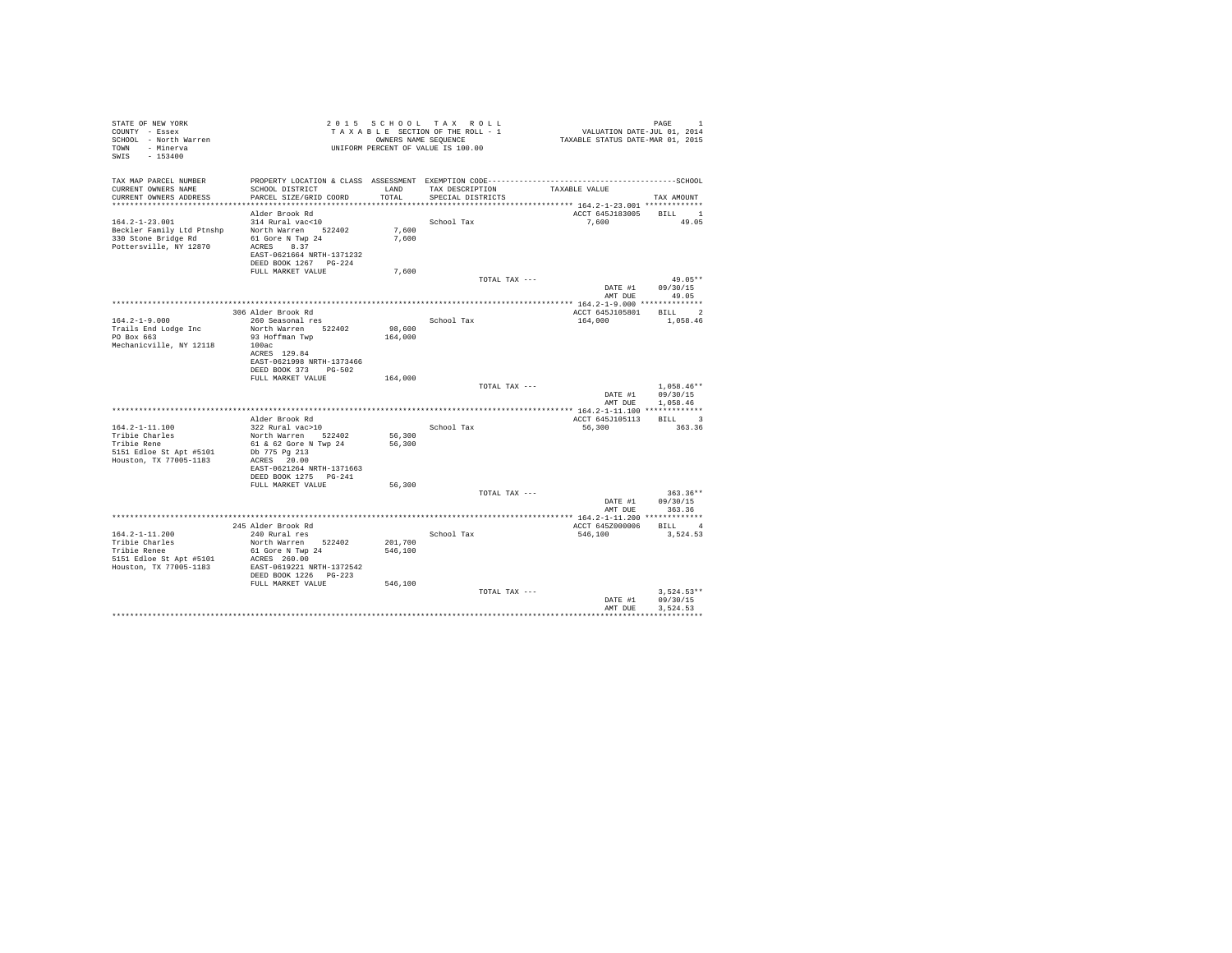| STATE OF NEW YORK<br>COUNTY - Essex<br>SCHOOL - North Warren<br>TOWN - Minerva<br>SWIS - 153400    |                                                                                                                                                         |                               | 2015 SCHOOL TAX ROLL<br>TAXABLE SECTION OF THE ROLL - 1<br>OWNERS NAME SEQUENCE<br>UNIFORM PERCENT OF VALUE IS 100.00 | VALUATION DATE-JUL 01, 2014<br>TAXABLE STATUS DATE-MAR 01, 2015 | PAGE<br>$\mathbf{1}$                   |
|----------------------------------------------------------------------------------------------------|---------------------------------------------------------------------------------------------------------------------------------------------------------|-------------------------------|-----------------------------------------------------------------------------------------------------------------------|-----------------------------------------------------------------|----------------------------------------|
| TAX MAP PARCEL NUMBER<br>CURRENT OWNERS NAME<br>CURRENT OWNERS ADDRESS                             | PROPERTY LOCATION & CLASS ASSESSMENT EXEMPTION CODE-----------------------------------SCHOOL<br>SCHOOL DISTRICT<br>PARCEL SIZE/GRID COORD               | LAND<br>TOTAL                 | TAX DESCRIPTION<br>SPECIAL DISTRICTS                                                                                  | TAXABLE VALUE                                                   | TAX AMOUNT                             |
| $164.2 - 1 - 23.001$<br>Beckler Family Ltd Ptnshp<br>330 Stone Bridge Rd<br>Pottersville, NY 12870 | Alder Brook Rd<br>314 Rural vac<10<br>North Warren 522402<br>61 Gore N Twp 24<br>ACRES 8.37<br>EAST-0621664 NRTH-1371232<br>DEED BOOK 1267 PG-224       | 7,600<br>7,600                | School Tax                                                                                                            | ACCT 645J183005 BILL 1<br>7.600                                 | 49.05                                  |
|                                                                                                    | FULL MARKET VALUE                                                                                                                                       | 7,600                         | TOTAL TAX ---                                                                                                         | DATE #1                                                         | $49.05**$<br>09/30/15<br>AMT DUE 49.05 |
|                                                                                                    |                                                                                                                                                         |                               |                                                                                                                       |                                                                 |                                        |
| $164.2 - 1 - 9.000$<br>Trails End Lodge Inc<br>PO Box 663<br>Mechanicville, NY 12118               | 306 Alder Brook Rd<br>260 Seasonal res<br>North Warren 522402<br>93 Hoffman Twp<br>100ac<br>ACRES 129.84<br>EAST-0621998 NRTH-1373466                   | 98,600<br>164,000             | School Tax                                                                                                            | ACCT 645J105801<br>164,000                                      | BILL 2<br>1,058.46                     |
|                                                                                                    | DEED BOOK 373 PG-502<br>FULL MARKET VALUE                                                                                                               | 164,000                       | TOTAL TAX ---                                                                                                         | DATE #1                                                         | $1.058.46**$<br>09/30/15               |
|                                                                                                    |                                                                                                                                                         |                               |                                                                                                                       | AMT DUE                                                         | 1,058.46                               |
| 164.2-1-11.100                                                                                     | Alder Brook Rd<br>322 Rural vac>10                                                                                                                      |                               | School Tax                                                                                                            | ACCT 645J105113<br>56,300                                       | BILL 3<br>363.36                       |
| Tribie Charles<br>Tribie Rene<br>5151 Edloe St Apt #5101<br>Houston, TX 77005-1183                 | North Warren 522402<br>61 & 62 Gore N Twp 24<br>Db 775 Pg 213<br>ACRES 20.00<br>EAST-0621264 NRTH-1371663<br>DEED BOOK 1275 PG-241<br>FULL MARKET VALUE | 56,300<br>56,300<br>56,300    |                                                                                                                       |                                                                 |                                        |
|                                                                                                    |                                                                                                                                                         |                               | TOTAL TAX ---                                                                                                         |                                                                 | $363.36**$                             |
|                                                                                                    |                                                                                                                                                         |                               |                                                                                                                       | DATE #1<br>AMT DUE                                              | 09/30/15<br>363.36                     |
|                                                                                                    |                                                                                                                                                         |                               |                                                                                                                       |                                                                 |                                        |
| $164.2 - 1 - 11.200$                                                                               | 245 Alder Brook Rd<br>240 Rural res                                                                                                                     |                               | School Tax                                                                                                            | ACCT 645Z000006<br>546,100                                      | BILL 4<br>3.524.53                     |
| Tribie Charles<br>Tribie Renee<br>5151 Edloe St Apt #5101<br>Houston, TX 77005-1183                | North Warren 522402<br>61 Gore N Twp 24<br>ACRES 260.00<br>EAST-0619221 NRTH-1372542<br>DEED BOOK 1226   PG-223<br>FULL MARKET VALUE                    | 201,700<br>546,100<br>546,100 |                                                                                                                       |                                                                 |                                        |
|                                                                                                    |                                                                                                                                                         |                               | TOTAL TAX ---                                                                                                         | DATE #1<br>AMT DUE                                              | $3.524.53**$<br>09/30/15<br>3.524.53   |
|                                                                                                    |                                                                                                                                                         |                               |                                                                                                                       |                                                                 |                                        |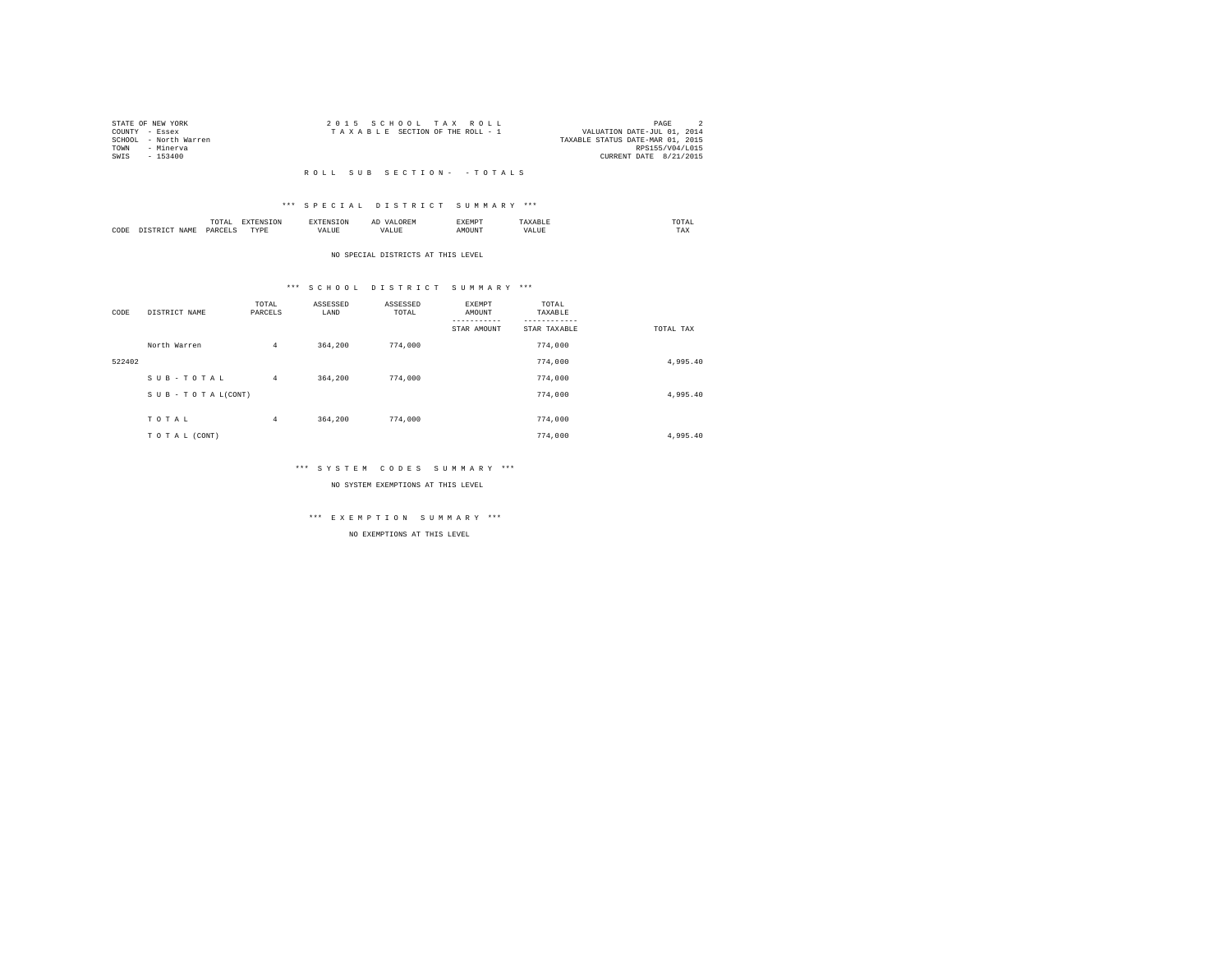|      | STATE OF NEW YORK     | 2015 SCHOOL TAX ROLL                                           | PAGE                   |  |
|------|-----------------------|----------------------------------------------------------------|------------------------|--|
|      | COUNTY - Essex        | VALUATION DATE-JUL 01, 2014<br>TAXABLE SECTION OF THE ROLL - 1 |                        |  |
|      | SCHOOL - North Warren | TAXABLE STATUS DATE-MAR 01, 2015                               |                        |  |
| TOWN | - Minerva             |                                                                | RPS155/V04/L015        |  |
| SWIS | - 153400              |                                                                | CURRENT DATE 8/21/2015 |  |
|      |                       |                                                                |                        |  |

### \*\*\* S P E C I A L D I S T R I C T S U M M A R Y \*\*\*

|      |       | .             |                  |    | - | <b>EXEMPT</b><br>----- |           | ™UIAL<br>the contract of the contract of the contract of |  |
|------|-------|---------------|------------------|----|---|------------------------|-----------|----------------------------------------------------------|--|
| CODE | 1 A M | <b>DARCEL</b> | <b>TVDL</b><br>. | ,, |   | )UN.                   | - 19<br>. | $- - - -$<br>1 A.A                                       |  |

#### NO SPECIAL DISTRICTS AT THIS LEVEL

### \*\*\* S C H O O L D I S T R I C T S U M M A R Y \*\*\*

| CODE   | DISTRICT NAME   | TOTAL<br>PARCELS | ASSESSED<br>LAND | ASSESSED<br>TOTAL | <b>EXEMPT</b><br>AMOUNT<br>---------<br>STAR AMOUNT | TOTAL<br>TAXABLE<br>STAR TAXABLE | TOTAL TAX |
|--------|-----------------|------------------|------------------|-------------------|-----------------------------------------------------|----------------------------------|-----------|
|        | North Warren    | $\overline{4}$   | 364,200          | 774,000           |                                                     | 774,000                          |           |
| 522402 |                 |                  |                  |                   |                                                     | 774,000                          | 4.995.40  |
|        | SUB-TOTAL       | $\overline{4}$   | 364,200          | 774,000           |                                                     | 774,000                          |           |
|        | SUB-TOTAL(CONT) |                  |                  |                   |                                                     | 774,000                          | 4.995.40  |
|        | TOTAL           | $\overline{4}$   | 364,200          | 774,000           |                                                     | 774,000                          |           |
|        | TO TAL (CONT)   |                  |                  |                   |                                                     | 774,000                          | 4,995.40  |

### \*\*\* S Y S T E M C O D E S S U M M A R Y \*\*\*

NO SYSTEM EXEMPTIONS AT THIS LEVEL

# \*\*\* E X E M P T I O N S U M M A R Y \*\*\*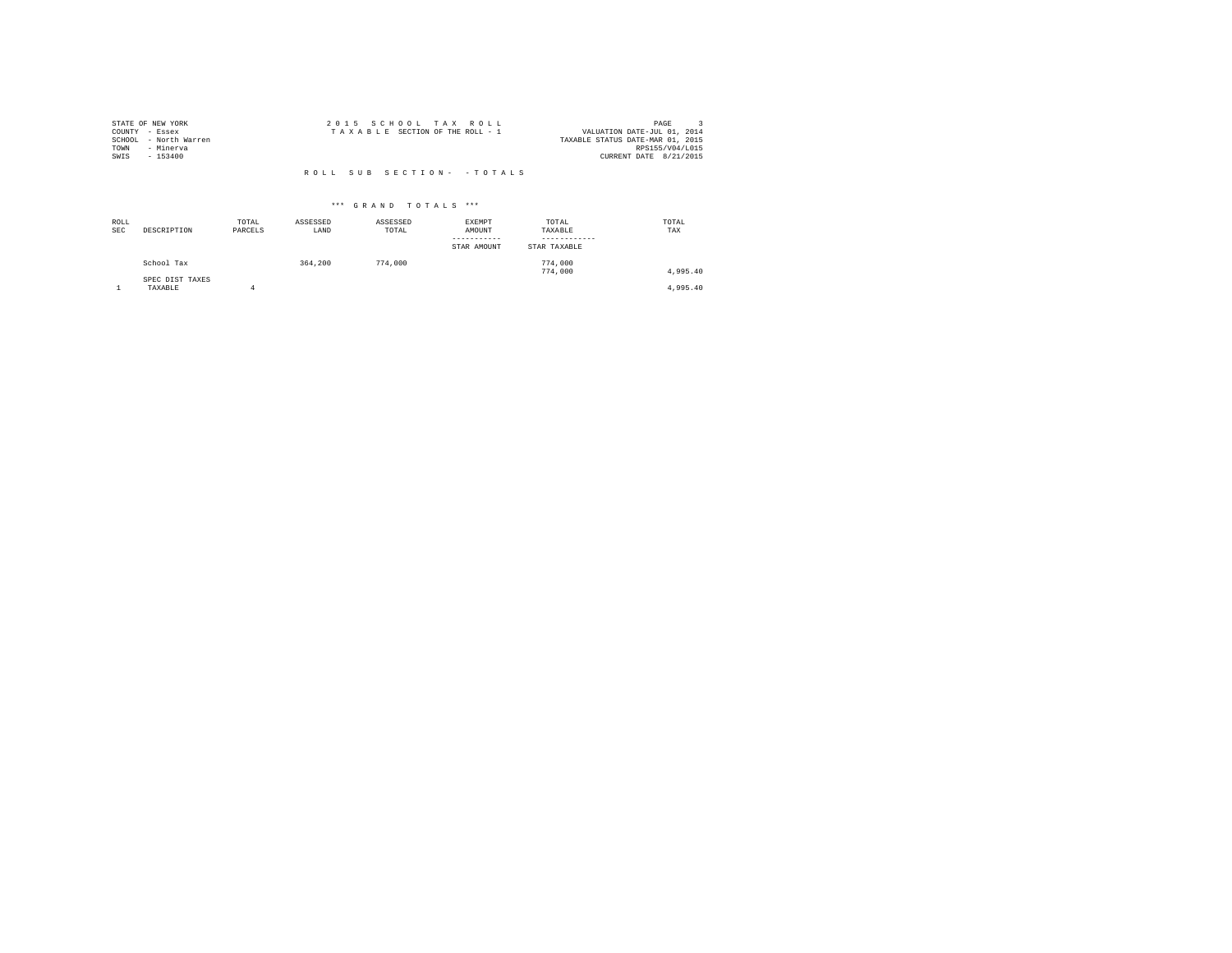| STATE OF NEW YORK     | 2015 SCHOOL TAX ROLL            | PAGE                             |
|-----------------------|---------------------------------|----------------------------------|
| COUNTY - Essex        | TAXABLE SECTION OF THE ROLL - 1 | VALUATION DATE-JUL 01, 2014      |
| SCHOOL - North Warren |                                 | TAXABLE STATUS DATE-MAR 01, 2015 |
| - Minerva<br>TOWN     |                                 | RPS155/V04/L015                  |
| SWIS<br>$-153400$     |                                 | CURRENT DATE 8/21/2015           |
|                       |                                 |                                  |
|                       | ROLL SUB SECTION- - TOTALS      |                                  |

| ROLL<br><b>SEC</b> | DESCRIPTION                | TOTAL<br>PARCELS | ASSESSED<br>LAND | ASSESSED<br>TOTAL | <b>EXEMPT</b><br>AMOUNT<br>STAR AMOUNT | TOTAL<br>TAXABLE<br>STAR TAXABLE | TOTAL<br>TAX |
|--------------------|----------------------------|------------------|------------------|-------------------|----------------------------------------|----------------------------------|--------------|
|                    | School Tax                 |                  | 364,200          | 774,000           |                                        | 774,000<br>774,000               | 4.995.40     |
|                    | SPEC DIST TAXES<br>TAXABLE | 4                |                  |                   |                                        |                                  | 4.995.40     |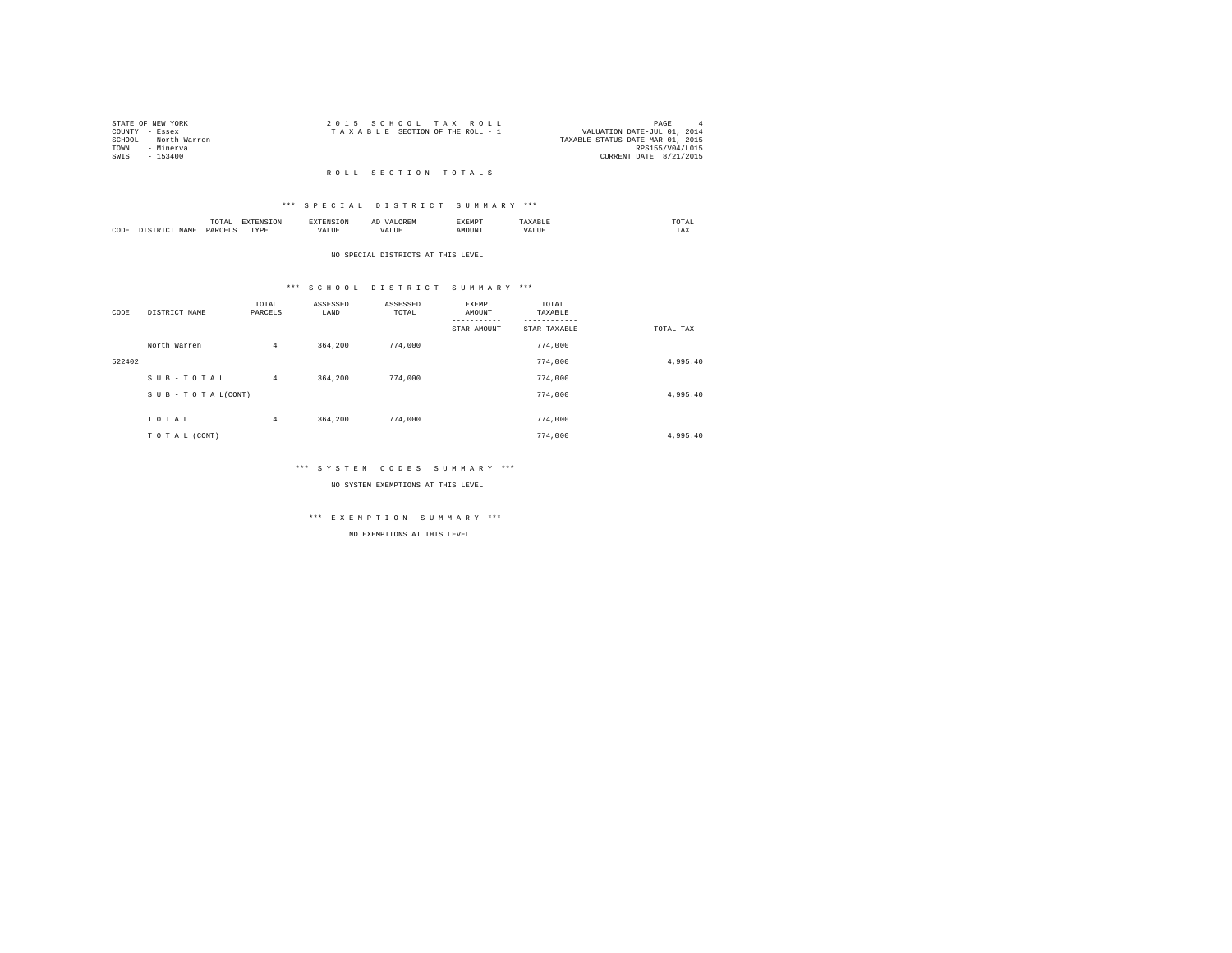|      | STATE OF NEW YORK     | 2015 SCHOOL TAX ROLL                                           | PAGE            | $\mathbf{A}$ |
|------|-----------------------|----------------------------------------------------------------|-----------------|--------------|
|      | COUNTY - Essex        | VALUATION DATE-JUL 01, 2014<br>TAXABLE SECTION OF THE ROLL - 1 |                 |              |
|      | SCHOOL - North Warren | TAXABLE STATUS DATE-MAR 01, 2015                               |                 |              |
| TOWN | - Minerva             |                                                                | RPS155/V04/L015 |              |
| SWTS | $-153400$             | CURRENT DATE 8/21/2015                                         |                 |              |

#### R O L L S E C T I O N T O T A L S

### \*\*\* S P E C I A L D I S T R I C T S U M M A R Y \*\*\*

|      |         | .<br>the contract of the contract of the contract of |          |    | -<br>しいじょ | 2 M L 21 |      | ∪⊥≞∟<br>the contract of the contract of the contract of |
|------|---------|------------------------------------------------------|----------|----|-----------|----------|------|---------------------------------------------------------|
| CODE | 21 A An | OAR<br>$\sim$                                        | TVD<br>. | ,, |           |          | 1111 | 1 A.A                                                   |

#### NO SPECIAL DISTRICTS AT THIS LEVEL

### \*\*\* S C H O O L D I S T R I C T S U M M A R Y \*\*\*

| CODE   | DISTRICT NAME      | TOTAL<br>PARCELS | ASSESSED<br>LAND | ASSESSED<br>TOTAL | EXEMPT<br>AMOUNT | TOTAL<br>TAXABLE |           |
|--------|--------------------|------------------|------------------|-------------------|------------------|------------------|-----------|
|        |                    |                  |                  |                   | STAR AMOUNT      | STAR TAXABLE     | TOTAL TAX |
|        | North Warren       | $\overline{4}$   | 364,200          | 774,000           |                  | 774,000          |           |
| 522402 |                    |                  |                  |                   |                  | 774,000          | 4,995.40  |
|        | SUB-TOTAL          | $\overline{4}$   | 364,200          | 774,000           |                  | 774,000          |           |
|        | SUB - TO TAL(CONT) |                  |                  |                   |                  | 774,000          | 4,995.40  |
|        |                    |                  |                  |                   |                  |                  |           |
|        | TOTAL              | $\overline{4}$   | 364,200          | 774,000           |                  | 774,000          |           |
|        | TO TAL (CONT)      |                  |                  |                   |                  | 774,000          | 4,995.40  |

### \*\*\* S Y S T E M C O D E S S U M M A R Y \*\*\*

NO SYSTEM EXEMPTIONS AT THIS LEVEL

# \*\*\* E X E M P T I O N S U M M A R Y \*\*\*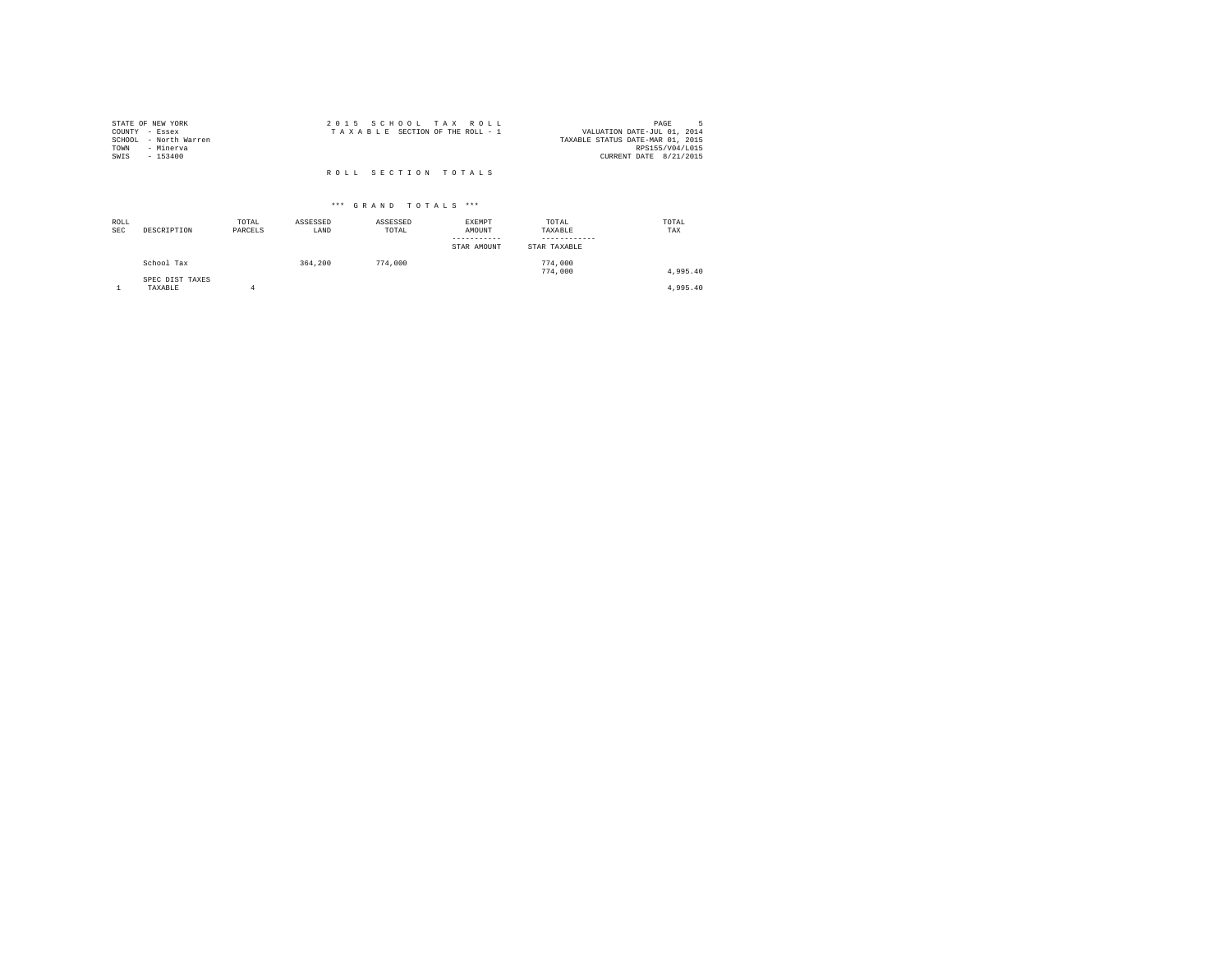| STATE OF NEW YORK<br>COUNTY - Essex<br>SCHOOL - North Warren<br>TOWN<br>- Minerva | 2015 SCHOOL TAX ROLL<br>TAXABLE SECTION OF THE ROLL - 1 | PAGE<br>VALUATION DATE-JUL 01, 2014<br>TAXABLE STATUS DATE-MAR 01, 2015<br>RPS155/V04/L015 |
|-----------------------------------------------------------------------------------|---------------------------------------------------------|--------------------------------------------------------------------------------------------|
| $-153400$<br>SWIS                                                                 | ROLL SECTION TOTALS                                     | CURRENT DATE 8/21/2015                                                                     |

| ROLL<br><b>SEC</b> | DESCRIPTION                | TOTAL<br>PARCELS | ASSESSED<br>LAND | ASSESSED<br>TOTAL | EXEMPT<br>AMOUNT<br>-----------<br>STAR AMOUNT | TOTAL<br>TAXABLE<br>------------<br>STAR TAXABLE | TOTAL<br>TAX |
|--------------------|----------------------------|------------------|------------------|-------------------|------------------------------------------------|--------------------------------------------------|--------------|
|                    | School Tax                 |                  | 364,200          | 774,000           |                                                | 774,000<br>774,000                               | 4,995.40     |
|                    | SPEC DIST TAXES<br>TAXABLE |                  |                  |                   |                                                |                                                  | 4,995.40     |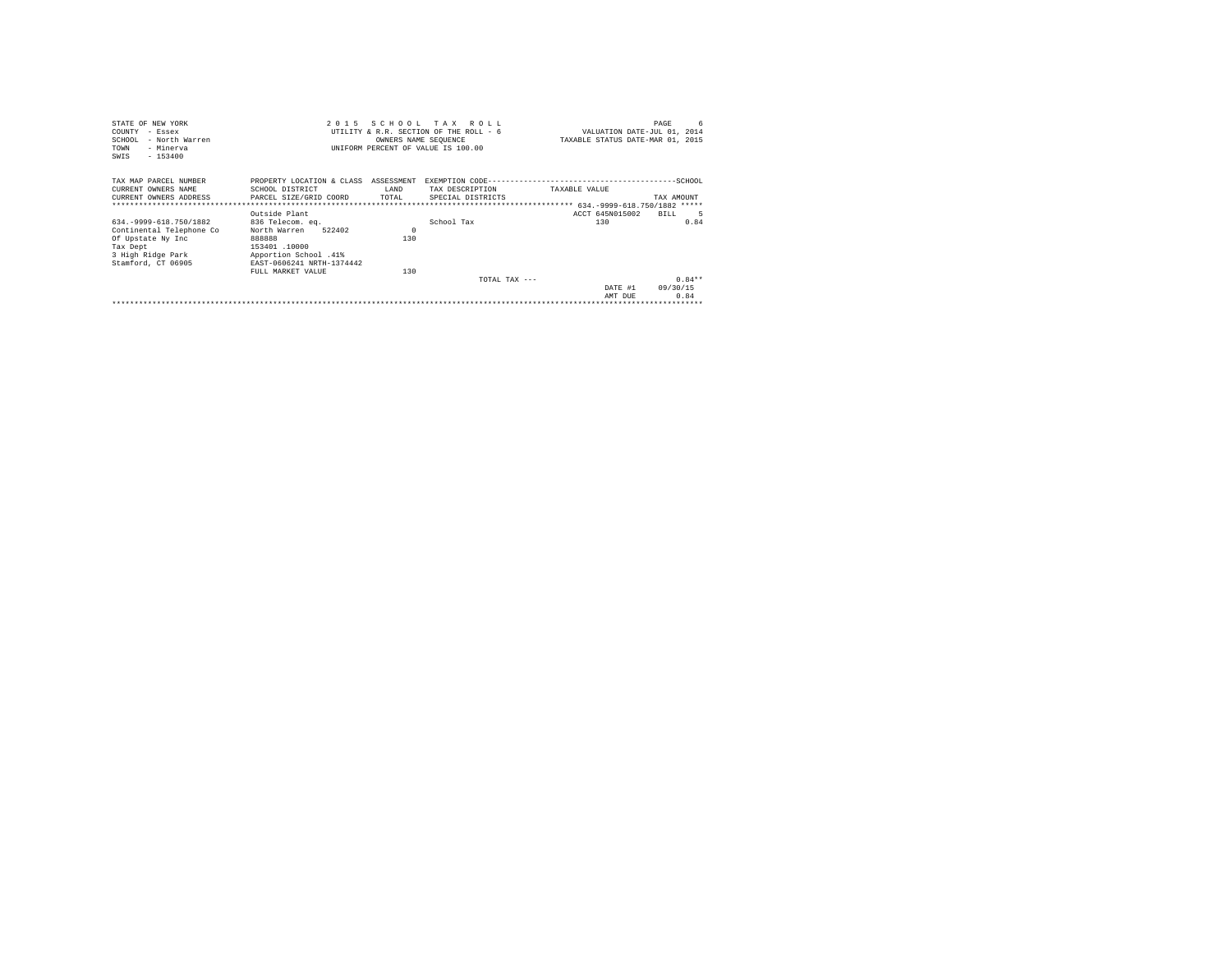| STATE OF NEW YORK                                   |                                      |                      | 2015 SCHOOL TAX ROLL                   |                 | 6<br>PAGE                        |
|-----------------------------------------------------|--------------------------------------|----------------------|----------------------------------------|-----------------|----------------------------------|
| COUNTY - Essex                                      |                                      |                      | UTILITY & R.R. SECTION OF THE ROLL - 6 |                 | VALUATION DATE-JUL 01, 2014      |
| SCHOOL<br>- North Warren                            |                                      | OWNERS NAME SEQUENCE |                                        |                 | TAXABLE STATUS DATE-MAR 01, 2015 |
| - Minerva<br>TOWN                                   |                                      |                      | UNIFORM PERCENT OF VALUE IS 100.00     |                 |                                  |
| $-153400$<br>SWIS                                   |                                      |                      |                                        |                 |                                  |
|                                                     |                                      |                      |                                        |                 |                                  |
| TAX MAP PARCEL NUMBER                               | PROPERTY LOCATION & CLASS ASSESSMENT |                      |                                        |                 |                                  |
| CURRENT OWNERS NAME                                 | SCHOOL DISTRICT                      | LAND                 | TAX DESCRIPTION                        | TAXABLE VALUE   |                                  |
| CURRENT OWNERS ADDRESS PARCEL SIZE/GRID COORD TOTAL |                                      |                      | SPECIAL DISTRICTS                      |                 | TAX AMOUNT                       |
|                                                     |                                      |                      |                                        |                 |                                  |
|                                                     | Outside Plant                        |                      |                                        | ACCT 645N015002 | BTLL                             |
| 634. - 9999-618. 750/1882                           | 836 Telecom. eq.                     |                      | School Tax                             | 130             | 0.84                             |
| Continental Telephone Co                            | 522402<br>North Warren               | $\Omega$             |                                        |                 |                                  |
| Of Upstate Ny Inc                                   | 888888                               | 130                  |                                        |                 |                                  |
| Tax Dept                                            | 153401.10000                         |                      |                                        |                 |                                  |
| 3 High Ridge Park                                   | Apportion School .41%                |                      |                                        |                 |                                  |
| Stamford, CT 06905                                  | EAST-0606241 NRTH-1374442            |                      |                                        |                 |                                  |
|                                                     | FULL MARKET VALUE                    | 130                  |                                        |                 |                                  |
|                                                     |                                      |                      | $TOTAI. TAX - - -$                     |                 | $0.84**$                         |
|                                                     |                                      |                      |                                        | DATE #1         | 09/30/15                         |
|                                                     |                                      |                      |                                        | AMT DUE         | 0.84                             |
|                                                     |                                      |                      |                                        |                 |                                  |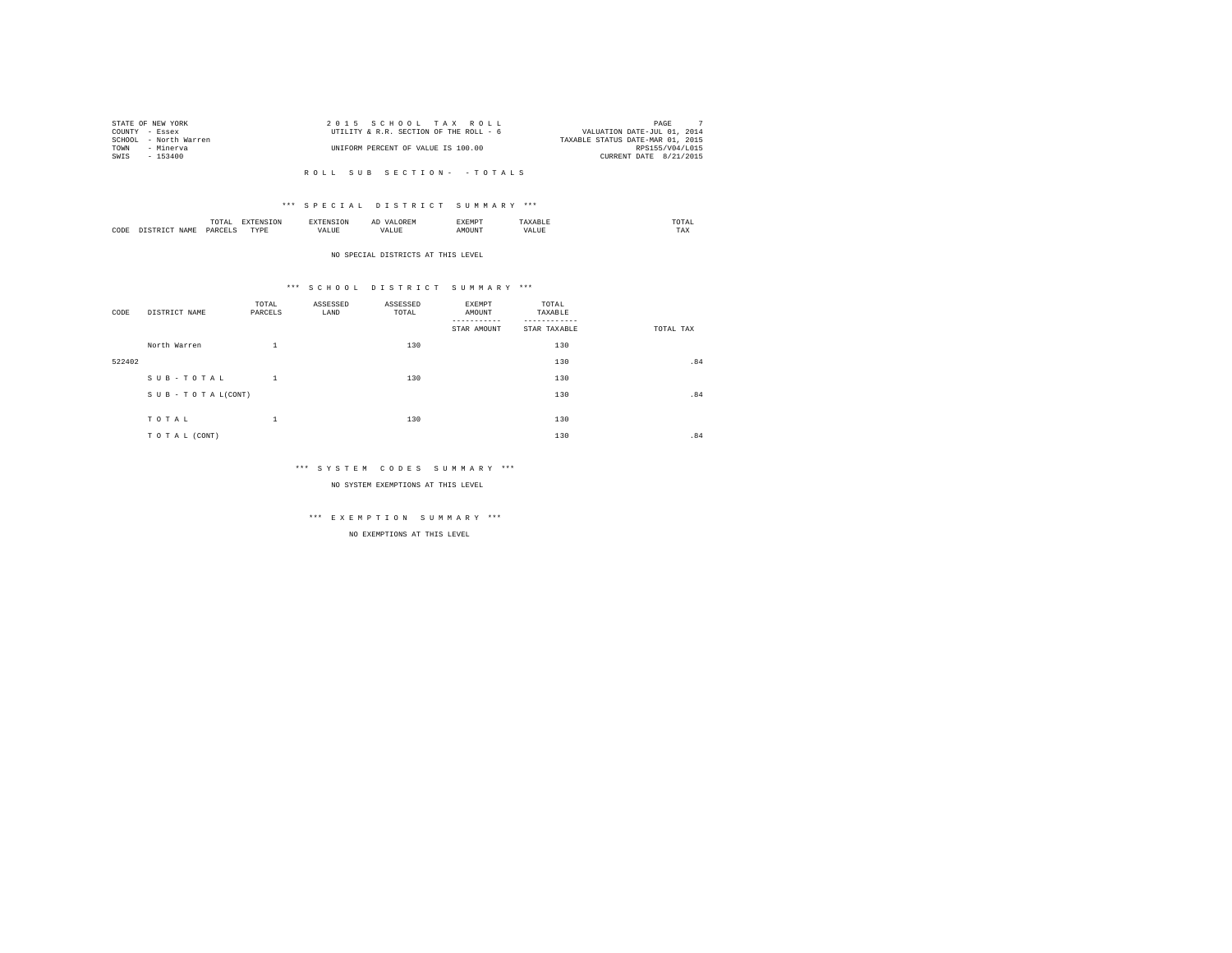|      | STATE OF NEW YORK     | 2015 SCHOOL TAX ROLL                   | PAGE                             |
|------|-----------------------|----------------------------------------|----------------------------------|
|      | COUNTY - Essex        | UTILITY & R.R. SECTION OF THE ROLL - 6 | VALUATION DATE-JUL 01, 2014      |
|      | SCHOOL - North Warren |                                        | TAXABLE STATUS DATE-MAR 01, 2015 |
| TOWN | - Minerva             | UNIFORM PERCENT OF VALUE IS 100.00     | RPS155/V04/L015                  |
| SWIS | - 153400              |                                        | CURRENT DATE 8/21/2015           |
|      |                       |                                        |                                  |

### \*\*\* S P E C I A L D I S T R I C T S U M M A R Y \*\*\*

|      | mome<br>n<br>.<br>the contract of the contract of the contract of | the contract of the contract of the contract of the contract of the contract of | АΙ | <b>************</b><br>ہ دے تا |   | the contract of the contract of the contract of |  |
|------|-------------------------------------------------------------------|---------------------------------------------------------------------------------|----|--------------------------------|---|-------------------------------------------------|--|
| CODE | PARCFT                                                            | $-$<br>ZD.<br>.                                                                 |    | ۱Т                             | n | 1 M.A                                           |  |

#### NO SPECIAL DISTRICTS AT THIS LEVEL

### \*\*\* S C H O O L D I S T R I C T S U M M A R Y \*\*\*

| CODE   | DISTRICT NAME   | TOTAL<br>PARCELS | ASSESSED<br>LAND | ASSESSED<br>TOTAL | <b>EXEMPT</b><br>AMOUNT<br>STAR AMOUNT | TOTAL<br>TAXABLE<br>STAR TAXABLE | TOTAL TAX |
|--------|-----------------|------------------|------------------|-------------------|----------------------------------------|----------------------------------|-----------|
|        | North Warren    | $\mathbf{1}$     |                  | 130               |                                        | 130                              |           |
| 522402 |                 |                  |                  |                   |                                        | 130                              | .84       |
|        | SUB-TOTAL       | $\mathbf{1}$     |                  | 130               |                                        | 130                              |           |
|        | SUB-TOTAL(CONT) |                  |                  |                   |                                        | 130                              | .84       |
|        |                 |                  |                  |                   |                                        |                                  |           |
|        | TOTAL           | $\mathbf{1}$     |                  | 130               |                                        | 130                              |           |
|        | TO TAL (CONT)   |                  |                  |                   |                                        | 130                              | .84       |

### \*\*\* S Y S T E M C O D E S S U M M A R Y \*\*\*

NO SYSTEM EXEMPTIONS AT THIS LEVEL

# \*\*\* E X E M P T I O N S U M M A R Y \*\*\*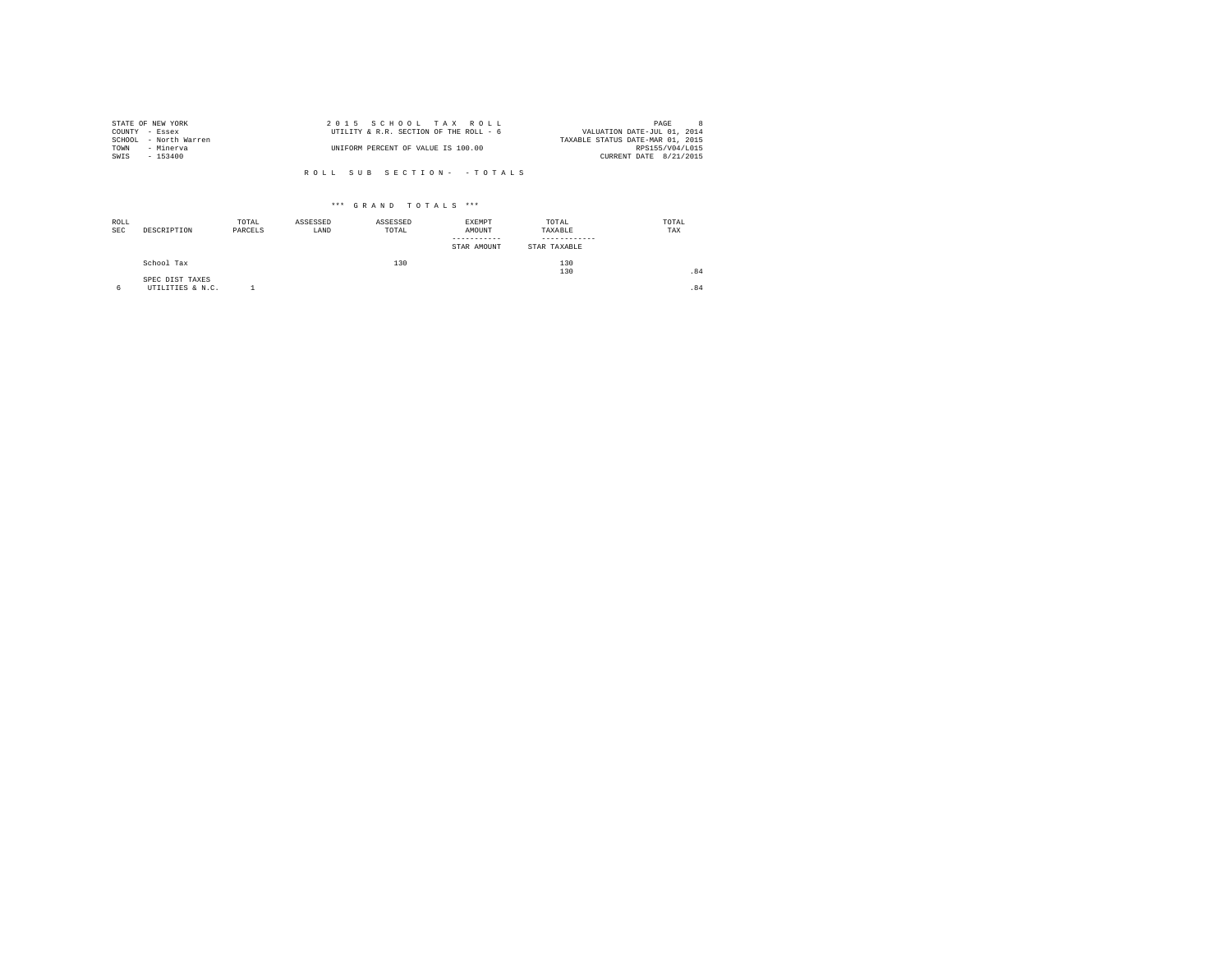| STATE OF NEW YORK |                       | 2015 SCHOOL TAX ROLL                   | PAGE                             |  |
|-------------------|-----------------------|----------------------------------------|----------------------------------|--|
| COUNTY - Essex    |                       | UTILITY & R.R. SECTION OF THE ROLL - 6 | VALUATION DATE-JUL 01, 2014      |  |
|                   | SCHOOL - North Warren |                                        | TAXABLE STATUS DATE-MAR 01, 2015 |  |
| TOWN              | - Minerva             | UNIFORM PERCENT OF VALUE IS 100.00     | RPS155/V04/L015                  |  |
| SWIS              | $-153400$             |                                        | CURRENT DATE 8/21/2015           |  |
|                   |                       |                                        |                                  |  |

| ROLL<br><b>SEC</b> | DESCRIPTION                         | TOTAL<br>PARCELS | ASSESSED<br>LAND | ASSESSED<br>TOTAL | EXEMPT<br>AMOUNT<br>--------<br>STAR AMOUNT | TOTAL<br>TAXABLE<br>STAR TAXABLE | TOTAL<br>TAX |
|--------------------|-------------------------------------|------------------|------------------|-------------------|---------------------------------------------|----------------------------------|--------------|
|                    | School Tax                          |                  |                  | 130               |                                             | 130<br>130                       | .84          |
| 6                  | SPEC DIST TAXES<br>UTILITIES & N.C. |                  |                  |                   |                                             |                                  | .84          |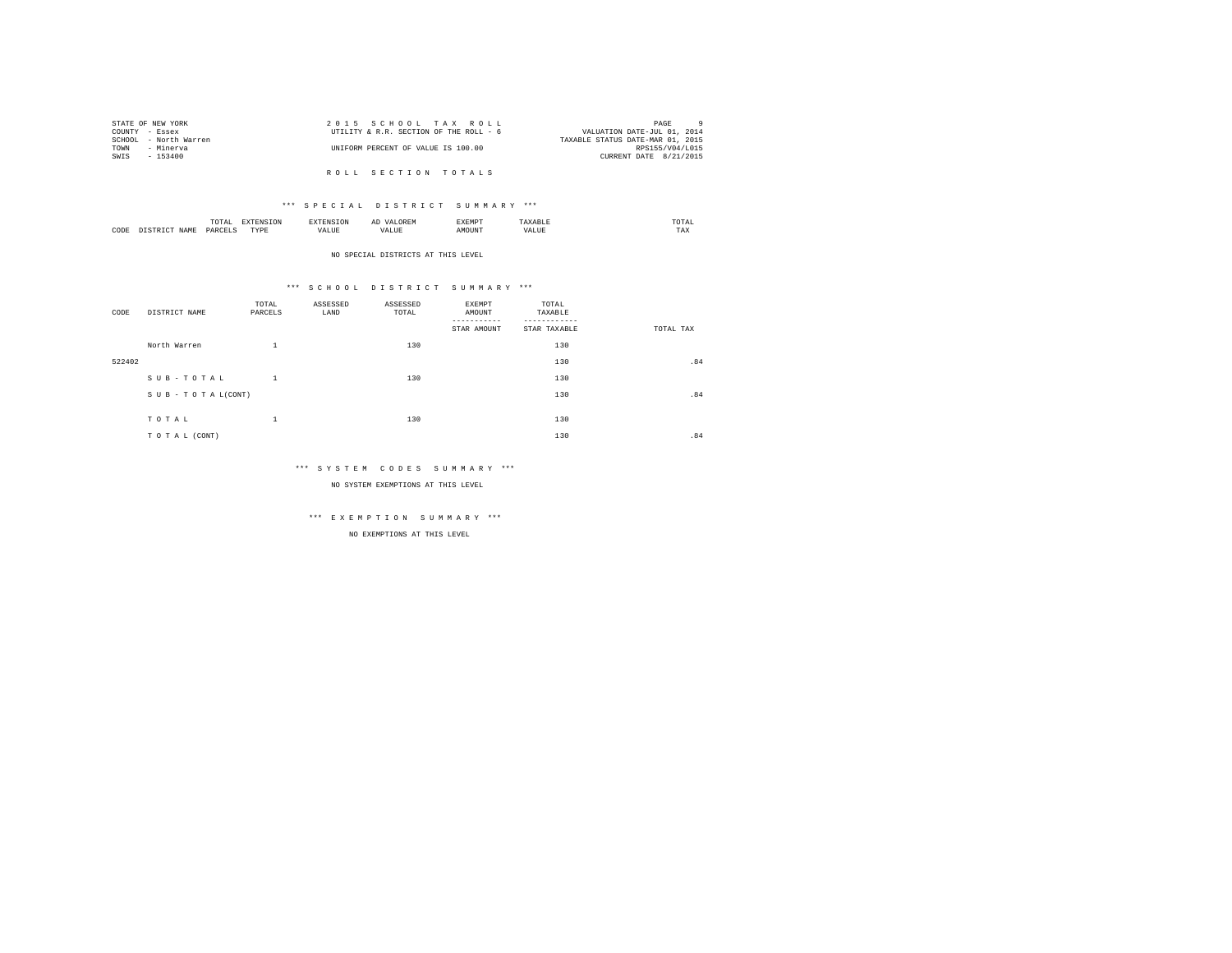|                | STATE OF NEW YORK     | 2015 SCHOOL TAX ROLL                   | PAGE                             |
|----------------|-----------------------|----------------------------------------|----------------------------------|
| COUNTY - Essex |                       | UTILITY & R.R. SECTION OF THE ROLL - 6 | VALUATION DATE-JUL 01, 2014      |
|                | SCHOOL - North Warren |                                        | TAXABLE STATUS DATE-MAR 01, 2015 |
| TOWN           | - Minerva             | UNIFORM PERCENT OF VALUE IS 100.00     | RPS155/V04/L015                  |
| SWIS           | $-153400$             |                                        | CURRENT DATE 8/21/2015           |
|                |                       |                                        |                                  |
|                |                       | ROLL SECTION TOTALS                    |                                  |

|      |     |                   | ∼ |  | the contract of the contract of the contract of |
|------|-----|-------------------|---|--|-------------------------------------------------|
| CODE | YAN | <b>TVD's</b><br>. |   |  | $- - -$<br>مصا                                  |

#### NO SPECIAL DISTRICTS AT THIS LEVEL

### \*\*\* S C H O O L D I S T R I C T S U M M A R Y \*\*\*

| CODE   | DISTRICT NAME   | TOTAL<br>PARCELS | ASSESSED<br>LAND | ASSESSED<br>TOTAL | <b>EXEMPT</b><br>AMOUNT<br>STAR AMOUNT | TOTAL<br>TAXABLE<br>STAR TAXABLE | TOTAL TAX |
|--------|-----------------|------------------|------------------|-------------------|----------------------------------------|----------------------------------|-----------|
|        | North Warren    | $\mathbf{1}$     |                  | 130               |                                        | 130                              |           |
| 522402 |                 |                  |                  |                   |                                        | 130                              | .84       |
|        | SUB-TOTAL       | $\mathbf{1}$     |                  | 130               |                                        | 130                              |           |
|        | SUB-TOTAL(CONT) |                  |                  |                   |                                        | 130                              | .84       |
|        | TOTAL           | $\mathbf{1}$     |                  | 130               |                                        | 130                              |           |
|        | TO TAL (CONT)   |                  |                  |                   |                                        | 130                              | .84       |

### \*\*\* S Y S T E M C O D E S S U M M A R Y \*\*\*

NO SYSTEM EXEMPTIONS AT THIS LEVEL

# \*\*\* E X E M P T I O N S U M M A R Y \*\*\*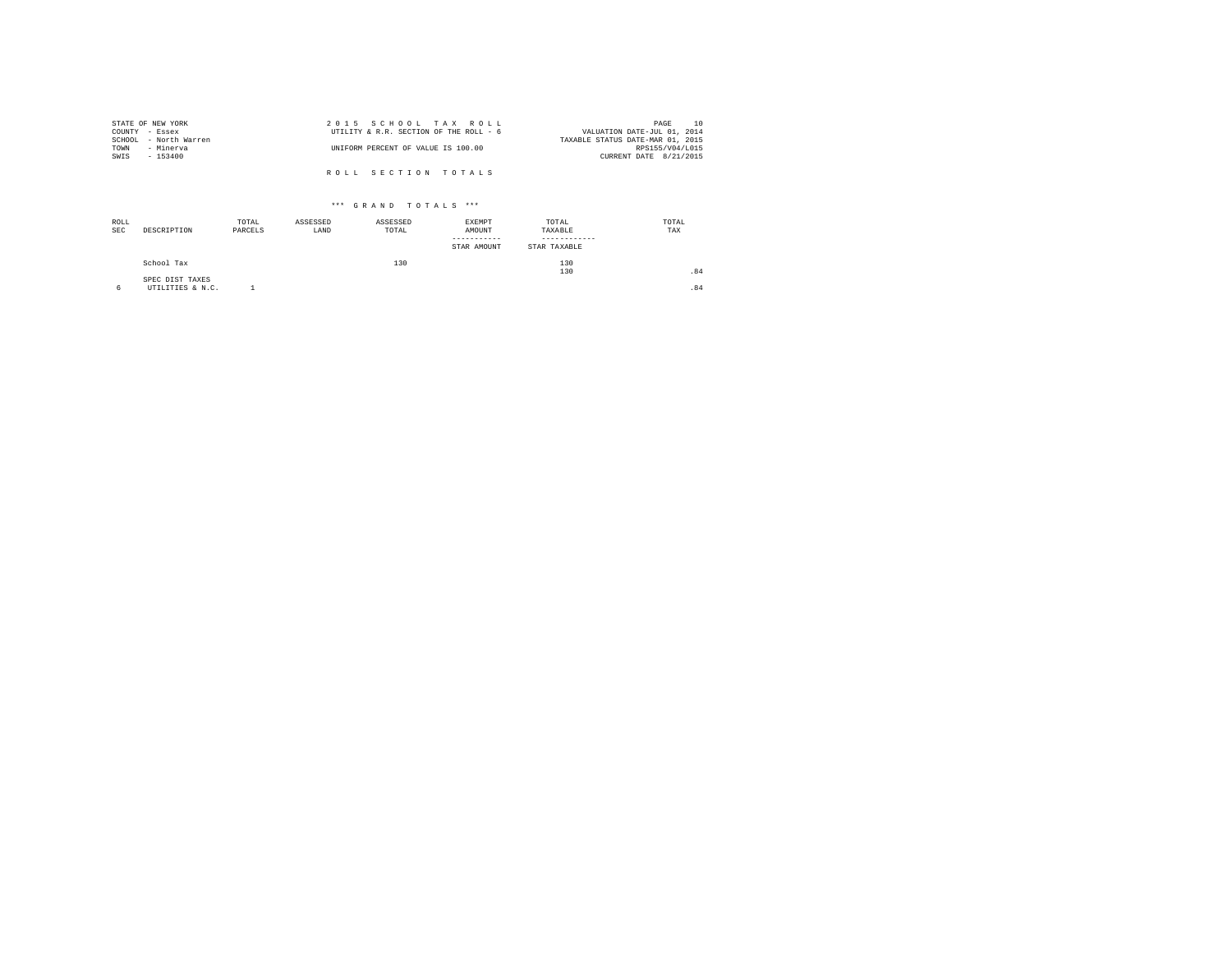| STATE OF NEW YORK     | 2015 SCHOOL TAX ROLL                   | 10<br>PAGE                       |
|-----------------------|----------------------------------------|----------------------------------|
| COUNTY - Essex        | UTILITY & R.R. SECTION OF THE ROLL - 6 | VALUATION DATE-JUL 01, 2014      |
| SCHOOL - North Warren |                                        | TAXABLE STATUS DATE-MAR 01, 2015 |
| TOWN<br>- Minerva     | UNIFORM PERCENT OF VALUE IS 100.00     | RPS155/V04/L015                  |
| SWIS<br>- 153400      |                                        | CURRENT DATE 8/21/2015           |
|                       |                                        |                                  |
|                       | ROLL SECTION TOTALS                    |                                  |

| ROLL<br>SEC | DESCRIPTION                         | TOTAL<br>PARCELS | ASSESSED<br>LAND | ASSESSED<br>TOTAL | EXEMPT<br>AMOUNT<br>-----------<br>STAR AMOUNT | TOTAL<br>TAXABLE<br>-----------<br>STAR TAXABLE | TOTAL<br>TAX |
|-------------|-------------------------------------|------------------|------------------|-------------------|------------------------------------------------|-------------------------------------------------|--------------|
|             | School Tax                          |                  |                  | 130               |                                                | 130<br>130                                      | .84          |
|             | SPEC DIST TAXES<br>UTILITIES & N.C. |                  |                  |                   |                                                |                                                 | .84          |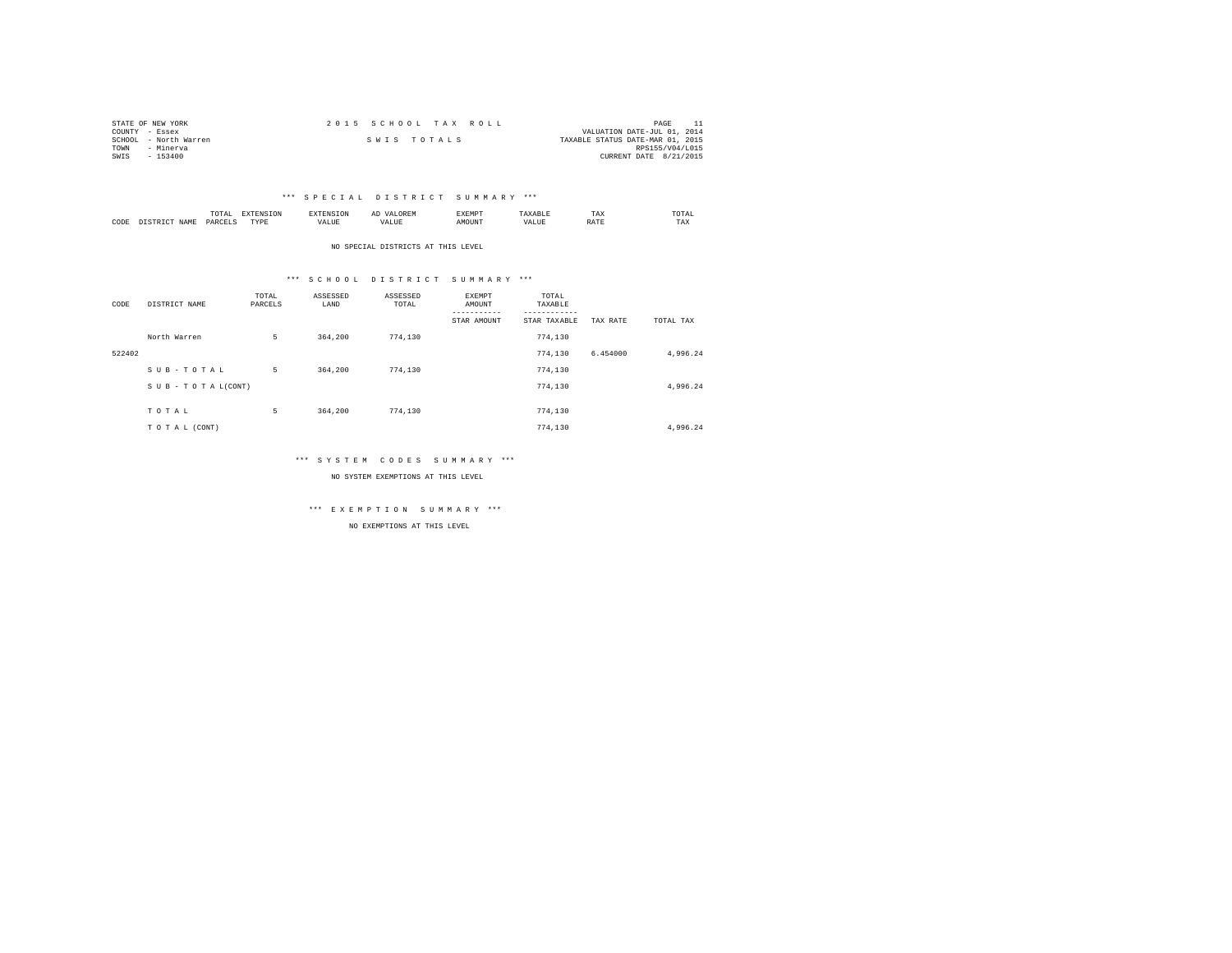| STATE OF NEW YORK     |  | 2015 SCHOOL TAX ROLL |                                  | PAGE                   |  |
|-----------------------|--|----------------------|----------------------------------|------------------------|--|
| COUNTY - Essex        |  |                      | VALUATION DATE-JUL 01, 2014      |                        |  |
| SCHOOL - North Warren |  | SWIS TOTALS          | TAXABLE STATUS DATE-MAR 01, 2015 |                        |  |
| TOWN<br>- Minerva     |  |                      |                                  | RPS155/V04/L015        |  |
| $-153400$<br>SWIS     |  |                      |                                  | CURRENT DATE 8/21/2015 |  |

|      |             | $1.71$ $H1$<br>the contract of the contract of the contract of | --------------- |                              |   | A 1.3'<br>. |       | $m + 1$<br>1'AX     | UIAL<br>the contract of the contract of the contract of |
|------|-------------|----------------------------------------------------------------|-----------------|------------------------------|---|-------------|-------|---------------------|---------------------------------------------------------|
| CODE | <b>NAME</b> | われも                                                            | rvnt<br>.       | $- - -$<br>$- - - -$<br>ALUL | n |             | 'ALUE | <b>The Property</b> | ---<br>1'AX                                             |

NO SPECIAL DISTRICTS AT THIS LEVEL

### \*\*\* S C H O O L D I S T R I C T S U M M A R Y \*\*\*

| CODE   | DISTRICT NAME   | TOTAL<br>PARCELS | ASSESSED<br>LAND | ASSESSED<br>TOTAL | EXEMPT<br>AMOUNT | TOTAL<br>TAXABLE<br>--------- |          |           |
|--------|-----------------|------------------|------------------|-------------------|------------------|-------------------------------|----------|-----------|
|        |                 |                  |                  |                   | STAR AMOUNT      | STAR TAXABLE                  | TAX RATE | TOTAL TAX |
|        | North Warren    | 5                | 364,200          | 774.130           |                  | 774,130                       |          |           |
| 522402 |                 |                  |                  |                   |                  | 774.130                       | 6.454000 | 4,996.24  |
|        | SUB-TOTAL       | 5                | 364,200          | 774.130           |                  | 774.130                       |          |           |
|        | SUB-TOTAL(CONT) |                  |                  |                   |                  | 774,130                       |          | 4,996.24  |
|        |                 |                  |                  |                   |                  |                               |          |           |
|        | TOTAL           | 5                | 364,200          | 774.130           |                  | 774.130                       |          |           |
|        | TO TAL (CONT)   |                  |                  |                   |                  | 774.130                       |          | 4.996.24  |

### \*\*\* S Y S T E M C O D E S S U M M A R Y \*\*\*

NO SYSTEM EXEMPTIONS AT THIS LEVEL

\*\*\* E X E M P T I O N S U M M A R Y \*\*\*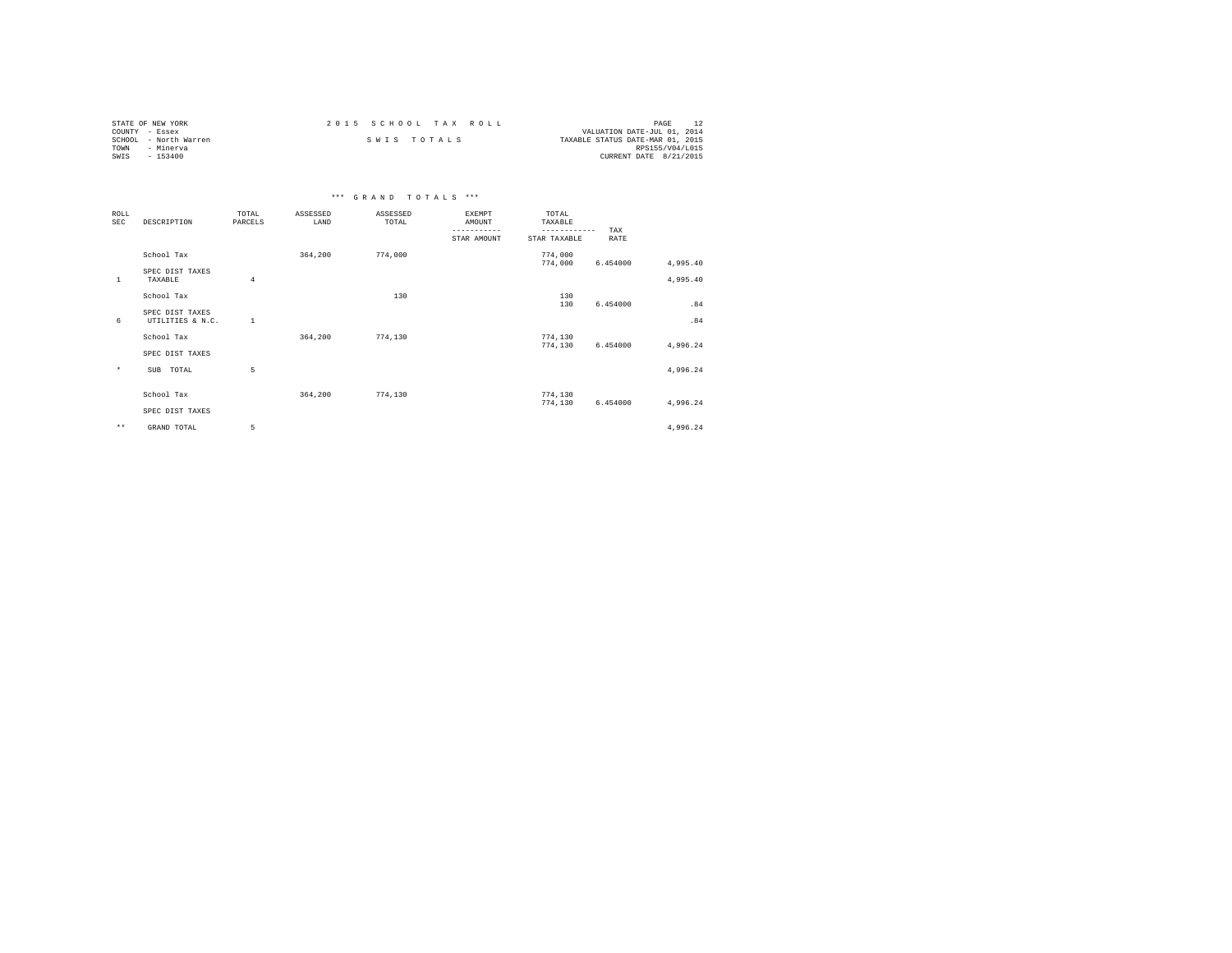| STATE OF NEW YORK     | 2015 SCHOOL TAX ROLL | PAGE                             |
|-----------------------|----------------------|----------------------------------|
| COUNTY - Essex        |                      | VALUATION DATE-JUL 01, 2014      |
| SCHOOL - North Warren | SWIS TOTALS          | TAXABLE STATUS DATE-MAR 01, 2015 |
| TOWN<br>- Minerva     |                      | RPS155/V04/L015                  |
| SWIS<br>- 153400      |                      | CURRENT DATE 8/21/2015           |

|                    |                                     |                  |                  | *** GRAND TOTALS  | $* * *$                   |                                  |          |                      |
|--------------------|-------------------------------------|------------------|------------------|-------------------|---------------------------|----------------------------------|----------|----------------------|
| ROLL<br><b>SEC</b> | DESCRIPTION                         | TOTAL<br>PARCELS | ASSESSED<br>LAND | ASSESSED<br>TOTAL | EXEMPT<br>AMOUNT<br>----- | TOTAL<br>TAXABLE<br>------------ | TAX      |                      |
|                    |                                     |                  |                  |                   | STAR AMOUNT               | STAR TAXABLE                     | RATE     |                      |
|                    | School Tax                          |                  | 364,200          | 774,000           |                           | 774,000                          |          |                      |
| $\mathbf{1}$       | SPEC DIST TAXES<br>TAXABLE          | $\overline{4}$   |                  |                   |                           | 774,000                          | 6.454000 | 4,995.40<br>4,995.40 |
|                    | School Tax                          |                  |                  | 130               |                           | 130                              |          |                      |
| 6                  | SPEC DIST TAXES<br>UTILITIES & N.C. | 1                |                  |                   |                           | 130                              | 6.454000 | .84<br>.84           |
|                    | School Tax                          |                  | 364,200          | 774,130           |                           | 774,130                          |          |                      |
|                    | SPEC DIST TAXES                     |                  |                  |                   |                           | 774,130                          | 6.454000 | 4,996.24             |
| $\star$            | <b>SUB</b><br>TOTAL                 | 5                |                  |                   |                           |                                  |          | 4,996.24             |
|                    | School Tax                          |                  | 364,200          | 774,130           |                           | 774,130                          |          |                      |
|                    | SPEC DIST TAXES                     |                  |                  |                   |                           | 774,130                          | 6.454000 | 4,996.24             |
| $\star\star$       | GRAND TOTAL                         | 5                |                  |                   |                           |                                  |          | 4,996.24             |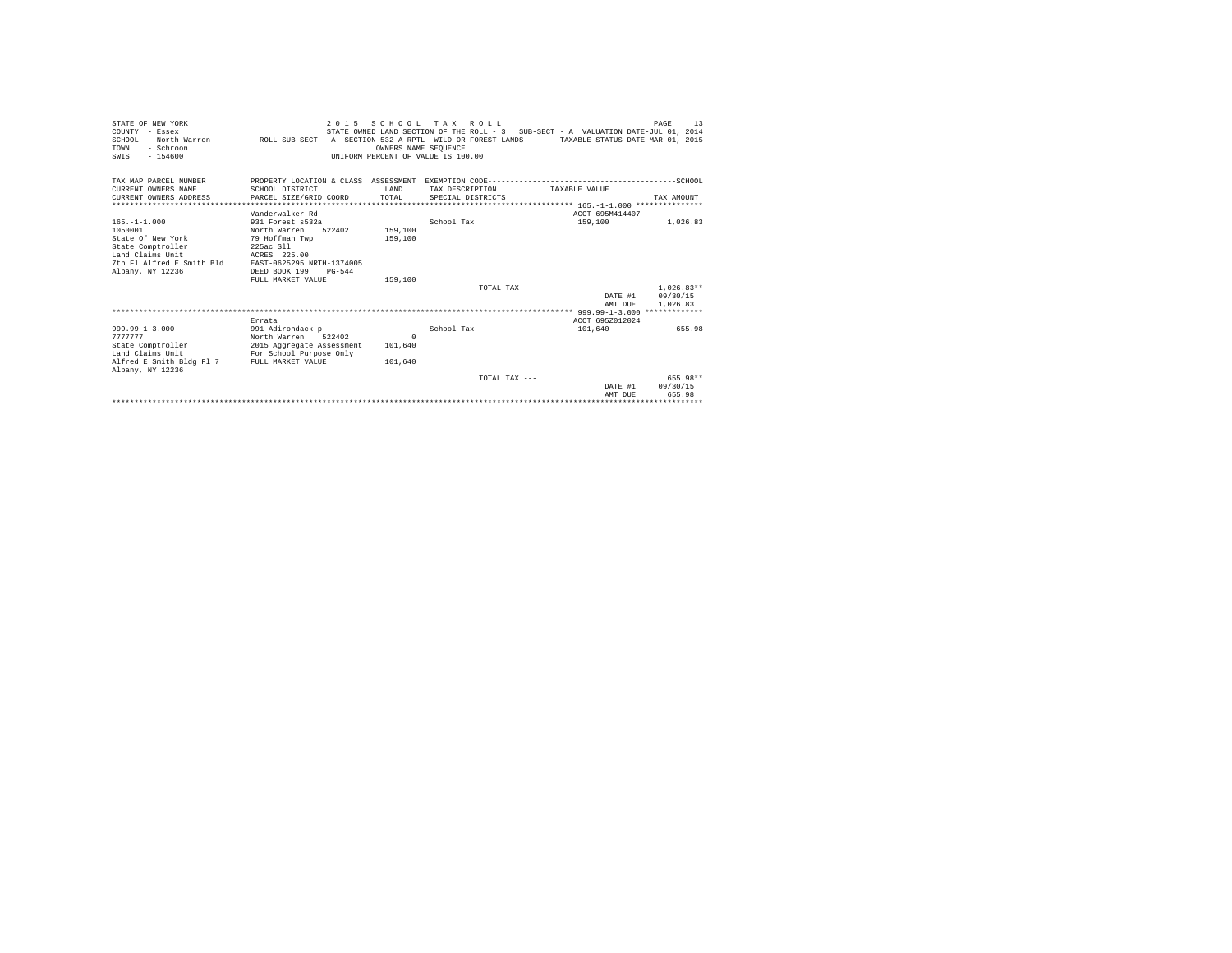| STATE OF NEW YORK<br>COUNTY - Essex<br>SCHOOL - North Warren MROLL SUB-SECT - A- SECTION 532-A RPTL WILD OR FOREST LANDS TAXABLE STATUS DATE-MAR 01, 2015<br>- Schroon<br>TOWN<br>$-154600$<br>SWIS |                                                                                                                                                                          | OWNERS NAME SEOUENCE<br>UNIFORM PERCENT OF VALUE IS 100.00 | 2015 SCHOOL TAX ROLL<br>STATE OWNED LAND SECTION OF THE ROLL - 3 SUB-SECT - A VALUATION DATE-JUL 01, 2014 |                    | 13<br>PAGE                     |
|-----------------------------------------------------------------------------------------------------------------------------------------------------------------------------------------------------|--------------------------------------------------------------------------------------------------------------------------------------------------------------------------|------------------------------------------------------------|-----------------------------------------------------------------------------------------------------------|--------------------|--------------------------------|
| TAX MAP PARCEL NUMBER<br>CURRENT OWNERS NAME<br>CURRENT OWNERS ADDRESS                                                                                                                              | SCHOOL DISTRICT<br>PARCEL SIZE/GRID COORD                                                                                                                                | T.AND<br>TOTAL                                             | TAX DESCRIPTION<br>SPECIAL DISTRICTS                                                                      | TAXABLE VALUE      | TAX AMOUNT                     |
|                                                                                                                                                                                                     | Vanderwalker Rd                                                                                                                                                          |                                                            |                                                                                                           | ACCT 695M414407    |                                |
| $165. - 1 - 1.000$<br>1050001<br>State Of New York<br>State Comptroller<br>Land Claims Unit<br>7th Fl Alfred E Smith Bld<br>Albany, NY 12236                                                        | 931 Forest s532a<br>North Warren<br>522402<br>79 Hoffman Twp<br>225ac S11<br>ACRES 225.00<br>EAST-0625295 NRTH-1374005<br>DEED BOOK 199<br>$PG-544$<br>FULL MARKET VALUE | 159,100<br>159,100<br>159,100                              | School Tax                                                                                                | 159,100            | 1,026.83                       |
|                                                                                                                                                                                                     |                                                                                                                                                                          |                                                            | TOTAL TAX $---$                                                                                           |                    | $1.026.83**$                   |
|                                                                                                                                                                                                     |                                                                                                                                                                          |                                                            |                                                                                                           | AMT DUE            | DATE #1 09/30/15<br>1,026.83   |
|                                                                                                                                                                                                     | Errata                                                                                                                                                                   |                                                            |                                                                                                           | ACCT 695Z012024    |                                |
| $999.99 - 1 - 3.000$<br>7777777<br>State Comptroller<br>Land Claims Unit<br>Alfred E Smith Bldg Fl 7 FULL MARKET VALUE<br>Albany, NY 12236                                                          | 991 Adirondack p<br>North Warren 522402<br>2015 Aggregate Assessment<br>For School Purpose Only                                                                          | $\Omega$<br>101,640<br>101,640                             | School Tax                                                                                                | 101,640            | 655.98                         |
|                                                                                                                                                                                                     |                                                                                                                                                                          |                                                            | TOTAL TAX $---$                                                                                           | DATE #1<br>AMT DUE | 655.98**<br>09/30/15<br>655.98 |
|                                                                                                                                                                                                     |                                                                                                                                                                          |                                                            |                                                                                                           |                    |                                |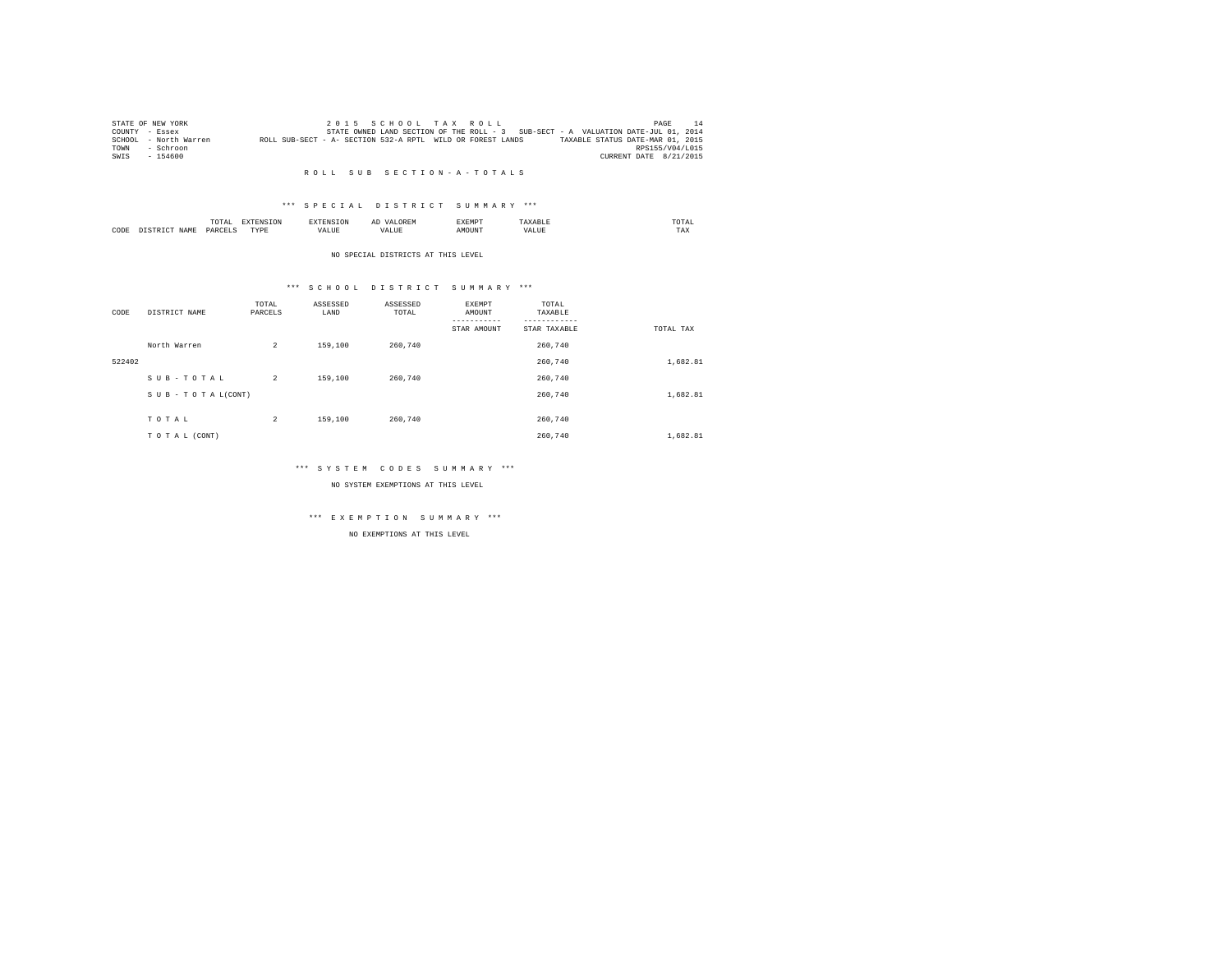|      | STATE OF NEW YORK     |                                                            |  |  | 2015 SCHOOL TAX ROLL |                                                                                   |                        | PAGE            | 14 |
|------|-----------------------|------------------------------------------------------------|--|--|----------------------|-----------------------------------------------------------------------------------|------------------------|-----------------|----|
|      | COUNTY - Essex        |                                                            |  |  |                      | STATE OWNED LAND SECTION OF THE ROLL - 3 SUB-SECT - A VALUATION DATE-JUL 01, 2014 |                        |                 |    |
|      | SCHOOL - North Warren | ROLL SUB-SECT - A- SECTION 532-A RPTL WILD OR FOREST LANDS |  |  |                      | TAXABLE STATUS DATE-MAR 01, 2015                                                  |                        |                 |    |
| TOWN | - Schroon             |                                                            |  |  |                      |                                                                                   |                        | RPS155/V04/L015 |    |
| SWIS | $-154600$             |                                                            |  |  |                      |                                                                                   | CURRENT DATE 8/21/2015 |                 |    |

### \*\*\* S P E C I A L D I S T R I C T S U M M A R Y \*\*\*

|      |      | ۰.<br>UIAI         |            |          | . . | !XEMP? |  | TOTAL<br>the contract of the contract of the contract of |
|------|------|--------------------|------------|----------|-----|--------|--|----------------------------------------------------------|
| CODE | JAM' | PARCE <sup>T</sup> | mirni<br>. | والماسدد |     | JUN"   |  | TAX                                                      |

#### NO SPECIAL DISTRICTS AT THIS LEVEL

### \*\*\* S C H O O L D I S T R I C T S U M M A R Y \*\*\*

| CODE   | DISTRICT NAME   | TOTAL<br>PARCELS | ASSESSED<br>LAND | ASSESSED<br>TOTAL | EXEMPT<br>AMOUNT<br>-----------<br>STAR AMOUNT | TOTAL<br>TAXABLE<br>STAR TAXABLE | TOTAL TAX |
|--------|-----------------|------------------|------------------|-------------------|------------------------------------------------|----------------------------------|-----------|
|        | North Warren    | $\overline{a}$   | 159,100          | 260,740           |                                                | 260.740                          |           |
| 522402 |                 |                  |                  |                   |                                                | 260.740                          | 1,682.81  |
|        | SUB-TOTAL       | $\overline{a}$   | 159,100          | 260.740           |                                                | 260,740                          |           |
|        | SUB-TOTAL(CONT) |                  |                  |                   |                                                | 260.740                          | 1,682.81  |
|        |                 |                  |                  |                   |                                                |                                  |           |
|        | TOTAL           | $\overline{a}$   | 159,100          | 260.740           |                                                | 260.740                          |           |
|        | TO TAL (CONT)   |                  |                  |                   |                                                | 260,740                          | 1,682.81  |

### \*\*\* S Y S T E M C O D E S S U M M A R Y \*\*\*

NO SYSTEM EXEMPTIONS AT THIS LEVEL

# \*\*\* E X E M P T I O N S U M M A R Y \*\*\*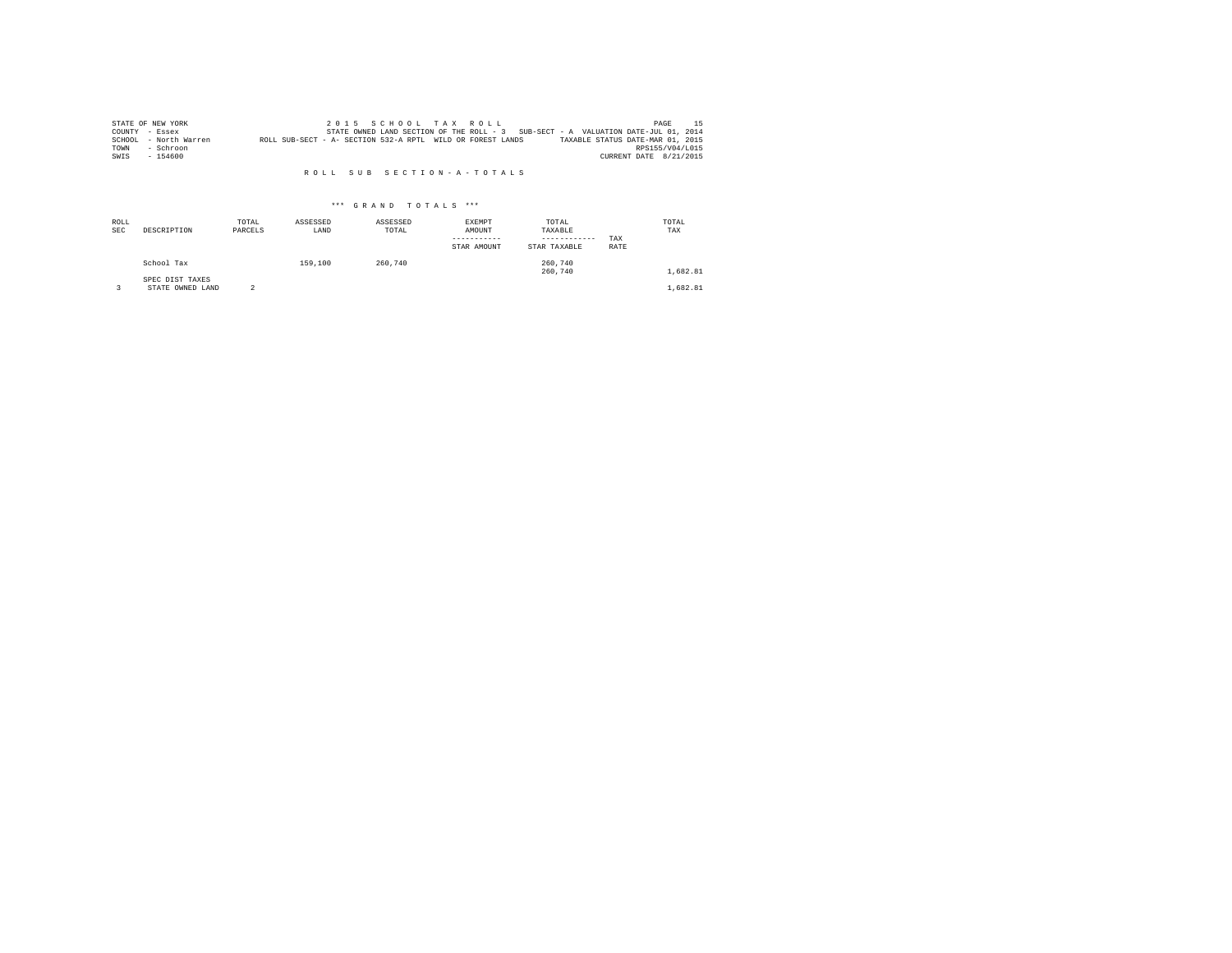|      | STATE OF NEW YORK     |                                                            |  |  | 2015 SCHOOL TAX ROLL |  |                                                                                   | PAGE                   | 15. |
|------|-----------------------|------------------------------------------------------------|--|--|----------------------|--|-----------------------------------------------------------------------------------|------------------------|-----|
|      | COUNTY - Essex        |                                                            |  |  |                      |  | STATE OWNED LAND SECTION OF THE ROLL - 3 SUB-SECT - A VALUATION DATE-JUL 01, 2014 |                        |     |
|      | SCHOOL - North Warren | ROLL SUB-SECT - A- SECTION 532-A RPTL WILD OR FOREST LANDS |  |  |                      |  | TAXABLE STATUS DATE-MAR 01, 2015                                                  |                        |     |
| TOWN | - Schroon             |                                                            |  |  |                      |  |                                                                                   | RPS155/V04/L015        |     |
| SWIS | $-154600$             |                                                            |  |  |                      |  |                                                                                   | CURRENT DATE 8/21/2015 |     |

| ROLL<br><b>SEC</b> | DESCRIPTION                         | TOTAL<br>PARCELS | ASSESSED<br>LAND | ASSESSED<br>TOTAL | EXEMPT<br>AMOUNT<br>-----------<br>STAR AMOUNT | TOTAL<br>TAXABLE<br>------------<br>STAR TAXABLE | TAX<br>RATE | TOTAL<br>TAX |
|--------------------|-------------------------------------|------------------|------------------|-------------------|------------------------------------------------|--------------------------------------------------|-------------|--------------|
|                    | School Tax                          |                  | 159,100          | 260.740           |                                                | 260,740<br>260.740                               |             | 1,682.81     |
|                    | SPEC DIST TAXES<br>STATE OWNED LAND |                  |                  |                   |                                                |                                                  |             | 1,682.81     |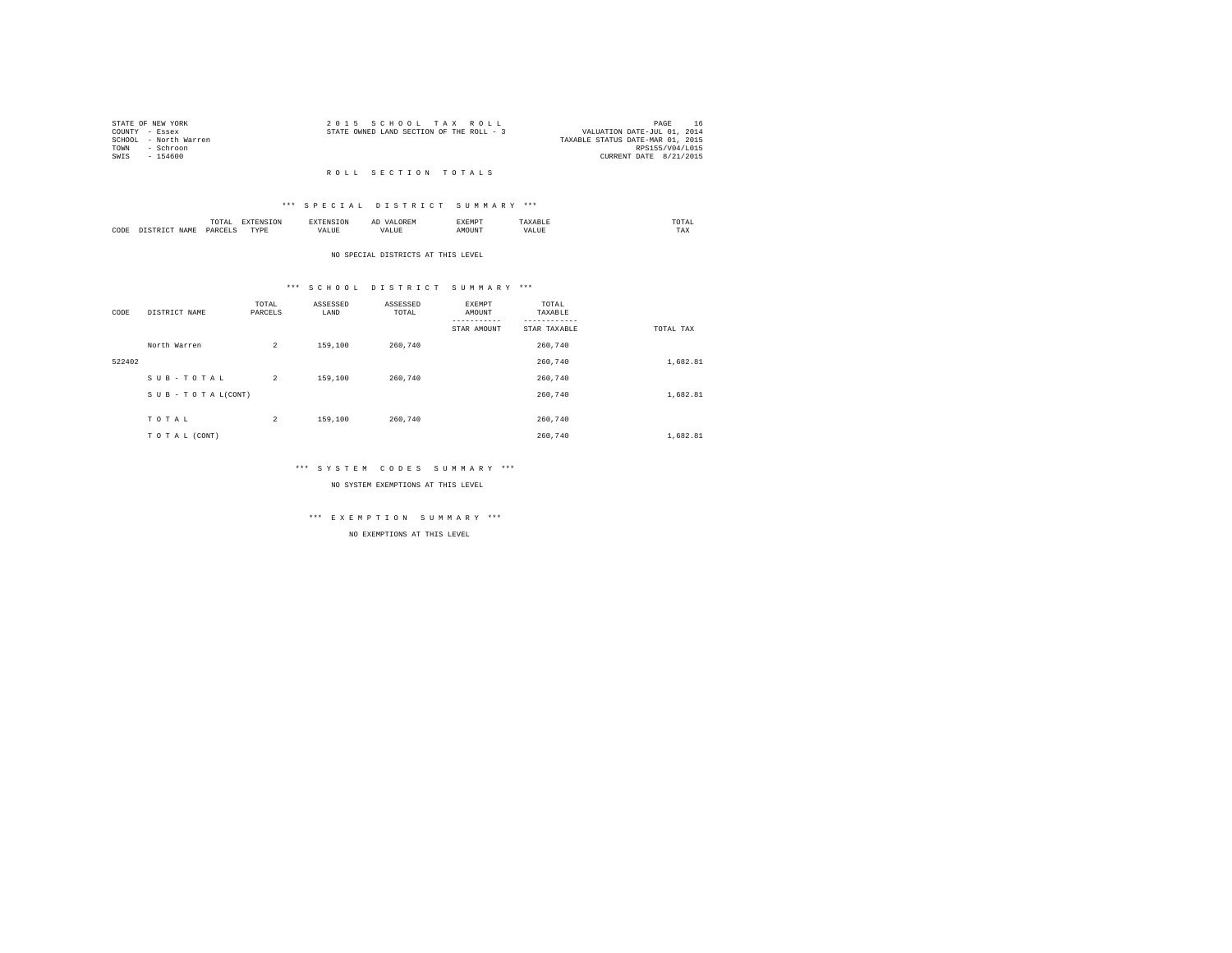| STATE OF NEW YORK |                       | 2015 SCHOOL TAX ROLL                     |  |  |                                  |                 | PAGE |  |
|-------------------|-----------------------|------------------------------------------|--|--|----------------------------------|-----------------|------|--|
| COUNTY - Essex    |                       | STATE OWNED LAND SECTION OF THE ROLL - 3 |  |  | VALUATION DATE-JUL 01, 2014      |                 |      |  |
|                   | SCHOOL - North Warren |                                          |  |  | TAXABLE STATUS DATE-MAR 01, 2015 |                 |      |  |
| TOWN              | - Schroon             |                                          |  |  |                                  | RPS155/V04/L015 |      |  |
| SWTS              | - 154600              |                                          |  |  | CURRENT DATE 8/21/2015           |                 |      |  |
|                   |                       |                                          |  |  |                                  |                 |      |  |

#### R O L L S E C T I O N T O T A L S

### \*\*\* S P E C I A L D I S T R I C T S U M M A R Y \*\*\*

|      | .              | the contract of the contract of the contract of the contract of the contract of the contract of the contract of | ≖  | .    | the contract of the contract of the contract of |
|------|----------------|-----------------------------------------------------------------------------------------------------------------|----|------|-------------------------------------------------|
| CODE | ODP'<br>$\sim$ | .<br>.                                                                                                          | -- | ראטי | $1 - \Delta$                                    |

#### NO SPECIAL DISTRICTS AT THIS LEVEL

### \*\*\* S C H O O L D I S T R I C T S U M M A R Y \*\*\*

| CODE   | DISTRICT NAME      | TOTAL<br>PARCELS | ASSESSED<br>LAND | ASSESSED<br>TOTAL | EXEMPT<br>AMOUNT | TOTAL<br>TAXABLE |           |
|--------|--------------------|------------------|------------------|-------------------|------------------|------------------|-----------|
|        |                    |                  |                  |                   | STAR AMOUNT      | STAR TAXABLE     | TOTAL TAX |
|        | North Warren       | $\overline{a}$   | 159,100          | 260.740           |                  | 260.740          |           |
| 522402 |                    |                  |                  |                   |                  | 260,740          | 1,682.81  |
|        | SUB-TOTAL          | $\overline{2}$   | 159,100          | 260.740           |                  | 260.740          |           |
|        | SUB - TO TAL(CONT) |                  |                  |                   |                  | 260.740          | 1,682.81  |
|        |                    |                  |                  |                   |                  | 260.740          |           |
|        | TOTAL              | $\overline{c}$   | 159,100          | 260,740           |                  |                  |           |
|        | TO TAL (CONT)      |                  |                  |                   |                  | 260.740          | 1,682.81  |

### \*\*\* S Y S T E M C O D E S S U M M A R Y \*\*\*

NO SYSTEM EXEMPTIONS AT THIS LEVEL

# \*\*\* E X E M P T I O N S U M M A R Y \*\*\*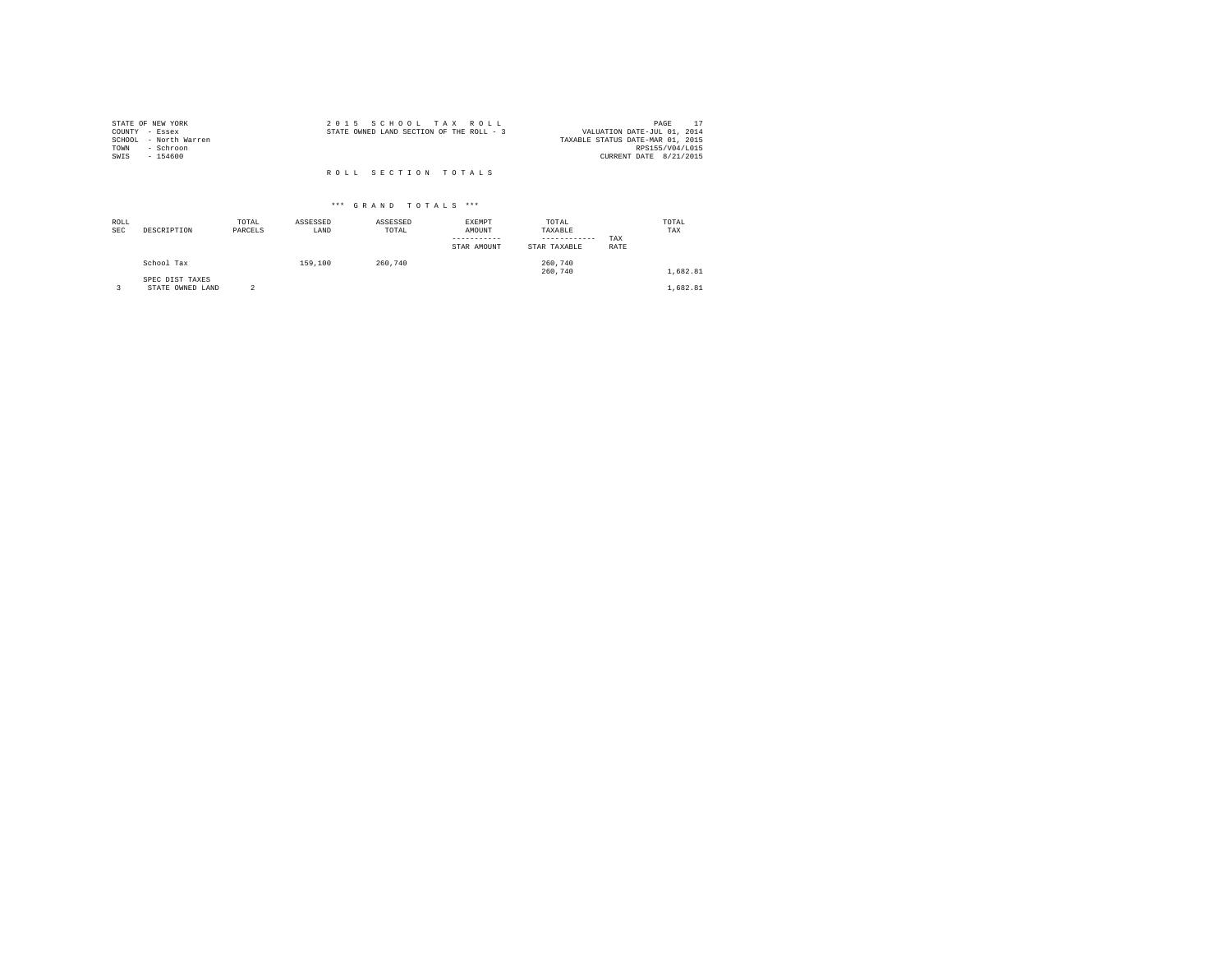| STATE OF NEW YORK<br>COUNTY - Essex<br>SCHOOL - North Warren<br>- Schroon<br>TOWN<br>SWIS<br>$-154600$ | 2015 SCHOOL TAX ROLL<br>STATE OWNED LAND SECTION OF THE ROLL - 3 | PAGE<br>VALUATION DATE-JUL 01, 2014<br>TAXABLE STATUS DATE-MAR 01, 2015<br>RPS155/V04/L015<br>CURRENT DATE 8/21/2015 |
|--------------------------------------------------------------------------------------------------------|------------------------------------------------------------------|----------------------------------------------------------------------------------------------------------------------|
|                                                                                                        | ROLL SECTION TOTALS                                              |                                                                                                                      |

| ROLL<br><b>SEC</b> | DESCRIPTION                         | TOTAL<br>PARCELS | ASSESSED<br>LAND | ASSESSED<br>TOTAL | EXEMPT<br>AMOUNT<br>-----------<br>STAR AMOUNT | TOTAL<br>TAXABLE<br>------------<br>STAR TAXABLE | TAX<br>RATE | TOTAL<br>TAX |  |
|--------------------|-------------------------------------|------------------|------------------|-------------------|------------------------------------------------|--------------------------------------------------|-------------|--------------|--|
|                    | School Tax                          |                  | 159,100          | 260,740           |                                                | 260,740<br>260,740                               |             | 1,682.81     |  |
|                    | SPEC DIST TAXES<br>STATE OWNED LAND | $\overline{2}$   |                  |                   |                                                |                                                  |             | 1,682.81     |  |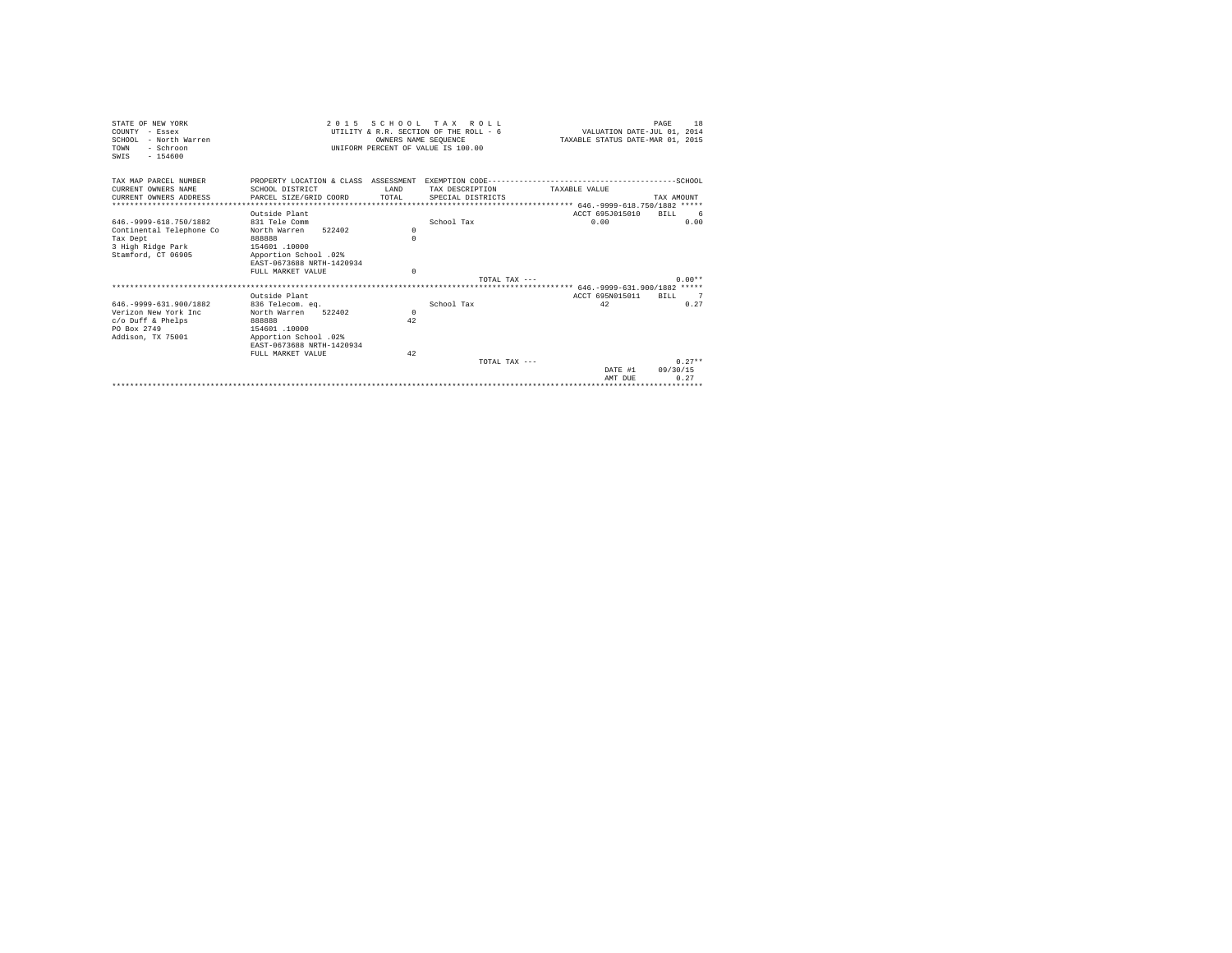| STATE OF NEW YORK           | 2 0 1 5                   |                      | SCHOOL TAX ROLL                        |                                  | 18<br>PAGE |
|-----------------------------|---------------------------|----------------------|----------------------------------------|----------------------------------|------------|
| COUNTY - Essex              |                           |                      | UTILITY & R.R. SECTION OF THE ROLL - 6 | VALUATION DATE-JUL 01, 2014      |            |
| SCHOOL - North Warren       |                           | OWNERS NAME SEOUENCE |                                        | TAXABLE STATUS DATE-MAR 01, 2015 |            |
| TOWN<br>- Schroon           |                           |                      | UNIFORM PERCENT OF VALUE IS 100.00     |                                  |            |
| $-154600$<br>SWTS           |                           |                      |                                        |                                  |            |
|                             |                           |                      |                                        |                                  |            |
| TAX MAP PARCEL NUMBER       |                           |                      |                                        |                                  |            |
| CURRENT OWNERS NAME         | SCHOOL DISTRICT           | T.AND                | TAX DESCRIPTION                        | TAXABLE VALUE                    |            |
| CURRENT OWNERS ADDRESS      | PARCEL SIZE/GRID COORD    | TOTAL                | SPECIAL DISTRICTS                      |                                  | TAX AMOUNT |
|                             |                           |                      |                                        |                                  |            |
|                             | Outside Plant             |                      |                                        | ACCT 695J015010                  | RTLL 6     |
| 646. - 9999 - 618. 750/1882 | 831 Tele Comm             |                      | School Tax                             | 0.00                             | 0.00       |
| Continental Telephone Co    | North Warren<br>522402    | $\Omega$             |                                        |                                  |            |
| Tax Dept                    | 888888                    | $\Omega$             |                                        |                                  |            |
| 3 High Ridge Park           | 154601.10000              |                      |                                        |                                  |            |
| Stamford, CT 06905          | Apportion School .02%     |                      |                                        |                                  |            |
|                             | EAST-0673688 NRTH-1420934 |                      |                                        |                                  |            |
|                             | FULL MARKET VALUE         | $\Omega$             |                                        |                                  |            |
|                             |                           |                      | TOTAL TAX $---$                        |                                  | $0.00**$   |
|                             |                           |                      |                                        |                                  |            |
|                             | Outside Plant             |                      |                                        | ACCT 695N015011                  | RTLL 7     |
| 646. - 9999 - 631. 900/1882 | 836 Telecom. eq.          |                      | School Tax                             | 42                               | 0.27       |
| Verizon New York Inc.       | North Warren<br>522402    | $\Omega$             |                                        |                                  |            |
| $c$ /o Duff & Phelps        | 888888                    | 42                   |                                        |                                  |            |
| PO Box 2749                 | 154601 .10000             |                      |                                        |                                  |            |
| Addison, TX 75001           | Apportion School .02%     |                      |                                        |                                  |            |
|                             | EAST-0673688 NRTH-1420934 |                      |                                        |                                  |            |
|                             | FULL MARKET VALUE         | 42                   |                                        |                                  |            |
|                             |                           |                      | TOTAL TAX $---$                        |                                  | $0.27**$   |
|                             |                           |                      |                                        | DATE #1                          | 09/30/15   |
|                             |                           |                      |                                        | AMT DUE                          | 0.27       |
|                             |                           |                      |                                        |                                  |            |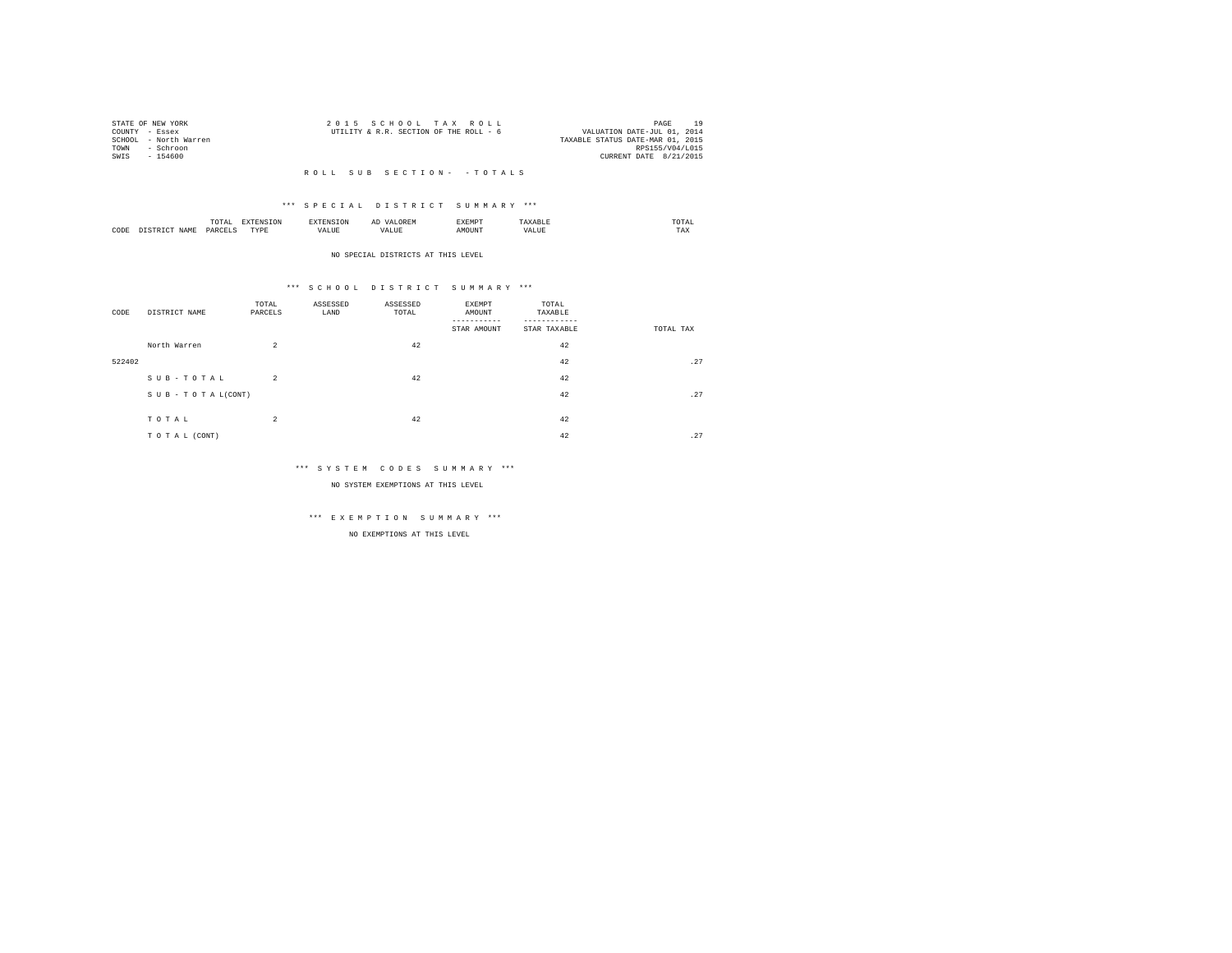| STATE OF NEW YORK |                       | 2015 SCHOOL TAX ROLL                   |  |                                  |                        | PAGE | 10 |
|-------------------|-----------------------|----------------------------------------|--|----------------------------------|------------------------|------|----|
| COUNTY - Essex    |                       | UTILITY & R.R. SECTION OF THE ROLL - 6 |  | VALUATION DATE-JUL 01, 2014      |                        |      |    |
|                   | SCHOOL - North Warren |                                        |  | TAXABLE STATUS DATE-MAR 01, 2015 |                        |      |    |
| TOWN              | - Schroon             |                                        |  |                                  | RPS155/V04/L015        |      |    |
| SWIS              | - 154600              |                                        |  |                                  | CURRENT DATE 8/21/2015 |      |    |
|                   |                       |                                        |  |                                  |                        |      |    |

### \*\*\* S P E C I A L D I S T R I C T S U M M A R Y \*\*\*

|      | .              | the contract of the contract of the contract of the contract of the contract of the contract of the contract of | ≖  | .    | the contract of the contract of the contract of |
|------|----------------|-----------------------------------------------------------------------------------------------------------------|----|------|-------------------------------------------------|
| CODE | ODP'<br>$\sim$ | .<br>.                                                                                                          | -- | ראטי | $1 - \Delta$                                    |

#### NO SPECIAL DISTRICTS AT THIS LEVEL

### \*\*\* S C H O O L D I S T R I C T S U M M A R Y \*\*\*

| CODE   | DISTRICT NAME   | TOTAL<br>PARCELS | ASSESSED<br>LAND | ASSESSED<br>TOTAL | EXEMPT<br>AMOUNT<br>STAR AMOUNT | TOTAL<br>TAXABLE<br>STAR TAXABLE | TOTAL TAX |
|--------|-----------------|------------------|------------------|-------------------|---------------------------------|----------------------------------|-----------|
|        | North Warren    | $\overline{a}$   |                  | 42                |                                 | 42                               |           |
| 522402 |                 |                  |                  |                   |                                 | 42                               | .27       |
|        | SUB-TOTAL       | $\overline{a}$   |                  | 42                |                                 | 42                               |           |
|        | SUB-TOTAL(CONT) |                  |                  |                   |                                 | 42                               | .27       |
|        | TOTAL           | $\overline{a}$   |                  | 42                |                                 | 42                               |           |
|        | TO TAL (CONT)   |                  |                  |                   |                                 | 42                               | .27       |

### \*\*\* S Y S T E M C O D E S S U M M A R Y \*\*\*

NO SYSTEM EXEMPTIONS AT THIS LEVEL

# \*\*\* E X E M P T I O N S U M M A R Y \*\*\*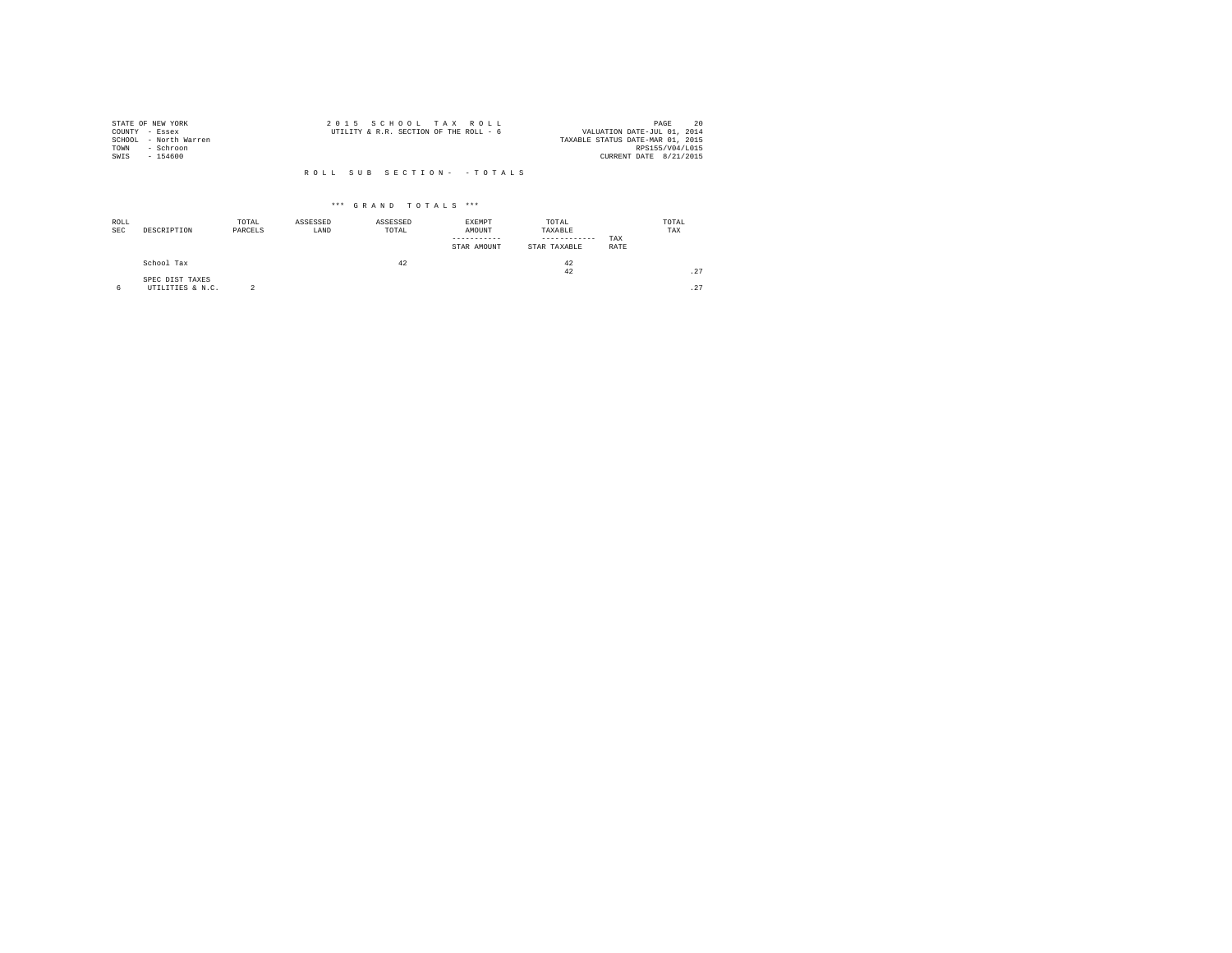|                | STATE OF NEW YORK     | 2015 SCHOOL TAX ROLL                                                  | 20<br>PAGE             |
|----------------|-----------------------|-----------------------------------------------------------------------|------------------------|
| COUNTY - Essex |                       | VALUATION DATE-JUL 01, 2014<br>UTILITY & R.R. SECTION OF THE ROLL - 6 |                        |
|                | SCHOOL - North Warren | TAXABLE STATUS DATE-MAR 01, 2015                                      |                        |
| TOWN           | - Schroon             |                                                                       | RPS155/V04/L015        |
| SWIS           | $-154600$             |                                                                       | CURRENT DATE 8/21/2015 |
|                |                       |                                                                       |                        |
|                |                       | ROLL SUB SECTION- - TOTALS                                            |                        |

| ROLL<br><b>SEC</b> | DESCRIPTION                         | TOTAL<br>PARCELS | ASSESSED<br>LAND | ASSESSED<br>TOTAL | EXEMPT<br>AMOUNT<br>STAR AMOUNT | TOTAL<br>TAXABLE<br>------------<br>STAR TAXABLE | TAX<br>RATE | TOTAL<br>TAX |
|--------------------|-------------------------------------|------------------|------------------|-------------------|---------------------------------|--------------------------------------------------|-------------|--------------|
|                    | School Tax                          |                  |                  | 42                |                                 | 42<br>42                                         |             | .27          |
| 6                  | SPEC DIST TAXES<br>UTILITIES & N.C. | $\sim$           |                  |                   |                                 |                                                  |             | .27          |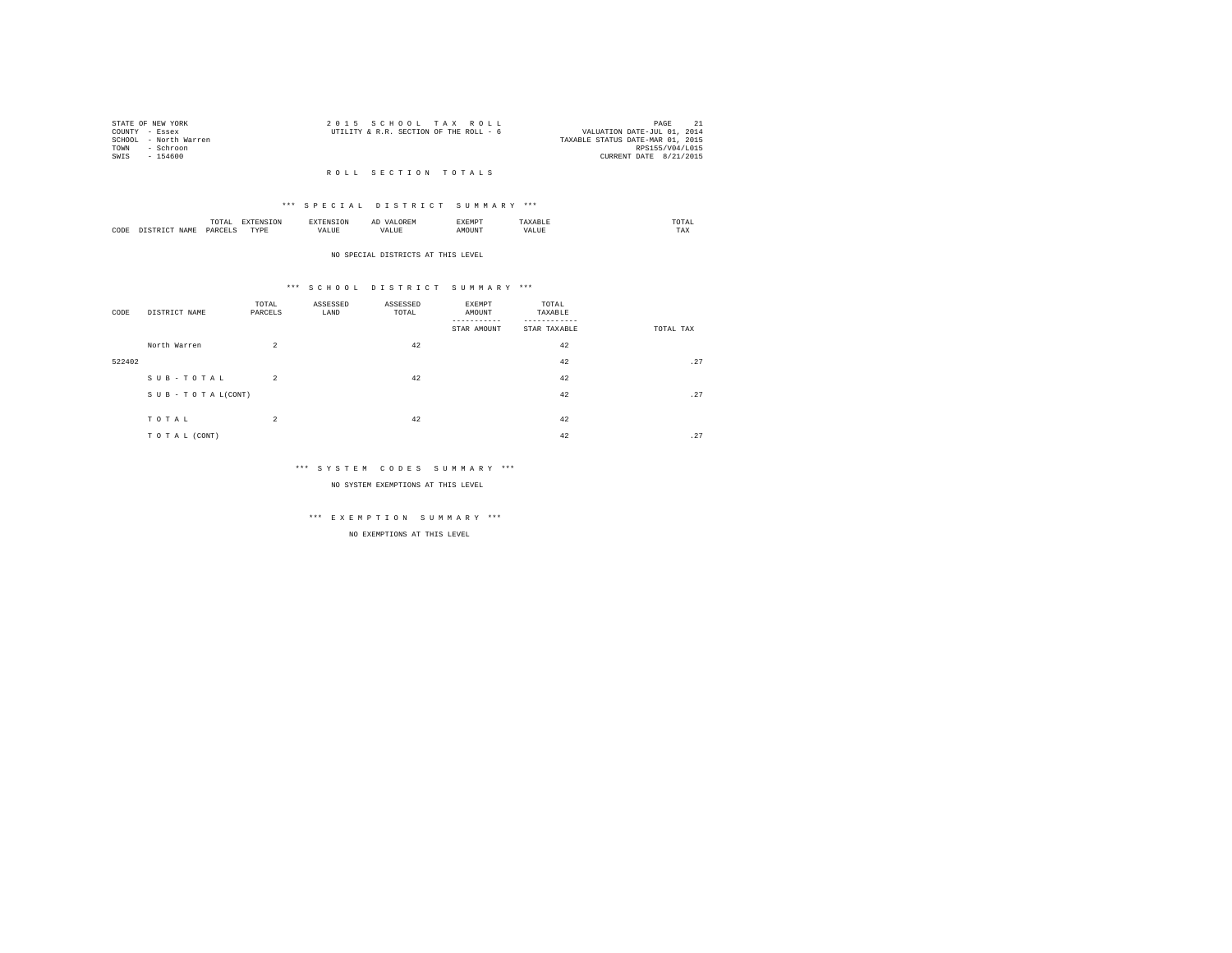| STATE OF NEW YORK |                       | 2015 SCHOOL TAX ROLL                                                  |                        | PAGE |  |
|-------------------|-----------------------|-----------------------------------------------------------------------|------------------------|------|--|
| COUNTY - Essex    |                       | VALUATION DATE-JUL 01, 2014<br>UTILITY & R.R. SECTION OF THE ROLL - 6 |                        |      |  |
|                   | SCHOOL - North Warren | TAXABLE STATUS DATE-MAR 01, 2015                                      |                        |      |  |
| TOWN              | - Schroon             |                                                                       | RPS155/V04/L015        |      |  |
| SWTS              | $-154600$             |                                                                       | CURRENT DATE 8/21/2015 |      |  |

### R O L L S E C T I O N T O T A L S

### \*\*\* S P E C I A L D I S T R I C T S U M M A R Y \*\*\*

|      |   | ----<br>.'O'TAL<br>the contract of the contract of the contract of the contract of the contract of | ---              | <b>CAN INF</b> | ----- |      | moms:<br>the contract of the contract of the contract of |  |
|------|---|----------------------------------------------------------------------------------------------------|------------------|----------------|-------|------|----------------------------------------------------------|--|
| CODE | - | DARCEL.<br>$\sim$<br>________                                                                      | <b>TVDk</b><br>. | $\cdots$<br>.  | MOUN. | ∿JU⊾ | TAX                                                      |  |

#### NO SPECIAL DISTRICTS AT THIS LEVEL

### \*\*\* S C H O O L D I S T R I C T S U M M A R Y \*\*\*

| DISTRICT NAME       | TOTAL<br>PARCELS | ASSESSED<br>LAND                  | ASSESSED<br>TOTAL | EXEMPT<br>AMOUNT<br>STAR AMOUNT | TOTAL<br>TAXABLE<br>STAR TAXABLE | TOTAL TAX |
|---------------------|------------------|-----------------------------------|-------------------|---------------------------------|----------------------------------|-----------|
| North Warren        | $\overline{a}$   |                                   | 42                |                                 | 42                               |           |
|                     |                  |                                   |                   |                                 | 42                               | .27       |
| $S$ U B - T O T A L | $\overline{2}$   |                                   | 42                |                                 | 42                               |           |
|                     |                  |                                   |                   |                                 | 42                               | .27       |
|                     |                  |                                   |                   |                                 |                                  |           |
| TO TAL (CONT)       |                  |                                   |                   |                                 | 42                               | .27       |
|                     | TOTAL            | SUB-TOTAL(CONT)<br>$\overline{a}$ |                   | 42                              |                                  | 42        |

### \*\*\* S Y S T E M C O D E S S U M M A R Y \*\*\*

NO SYSTEM EXEMPTIONS AT THIS LEVEL

# \*\*\* E X E M P T I O N S U M M A R Y \*\*\*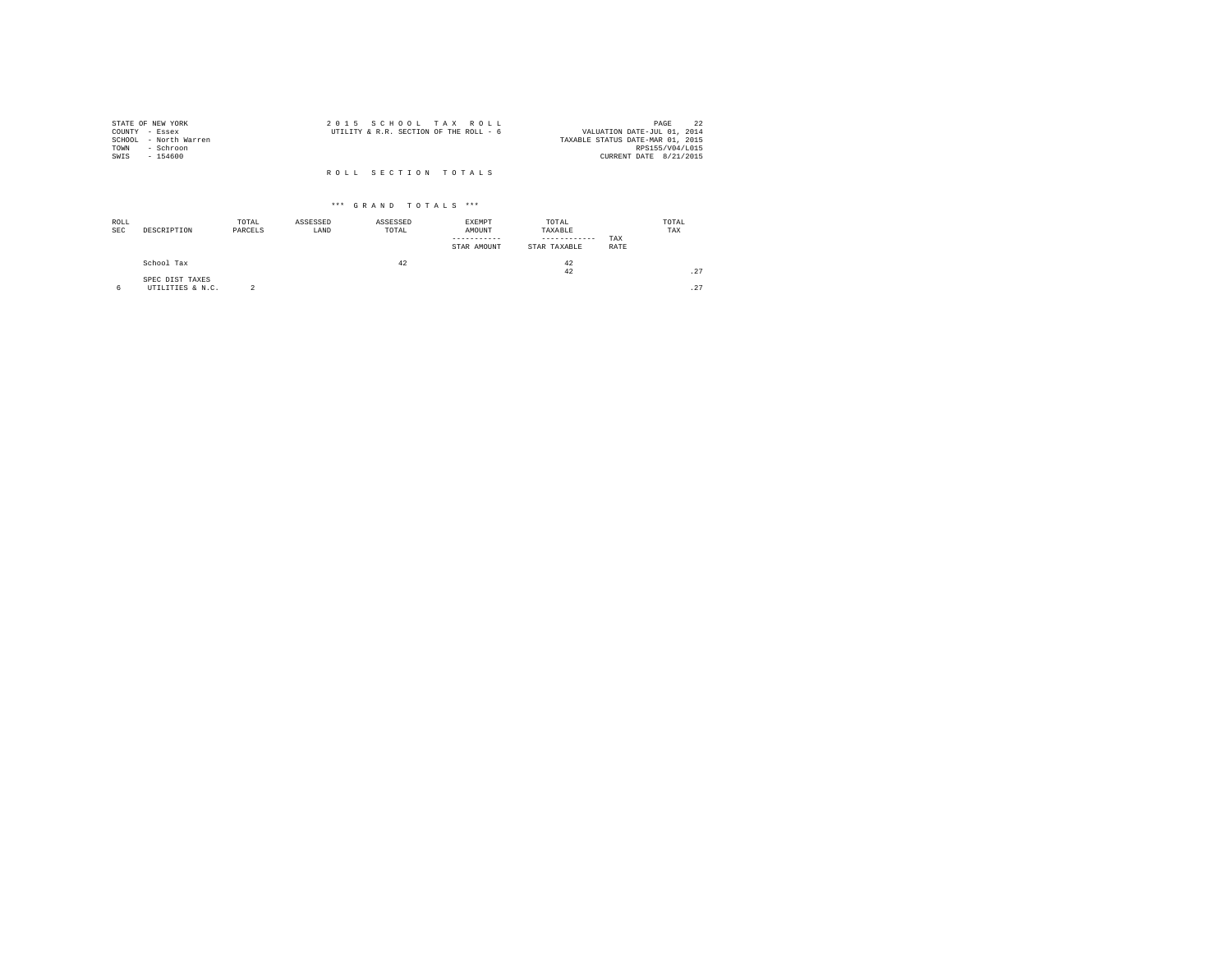|                | STATE OF NEW YORK     | 2015 SCHOOL TAX ROLL                                                  | PAGE            | 22 |
|----------------|-----------------------|-----------------------------------------------------------------------|-----------------|----|
| COUNTY - Essex |                       | VALUATION DATE-JUL 01, 2014<br>UTILITY & R.R. SECTION OF THE ROLL - 6 |                 |    |
|                | SCHOOL - North Warren | TAXABLE STATUS DATE-MAR 01, 2015                                      |                 |    |
| TOWN           | - Schroon             |                                                                       | RPS155/V04/L015 |    |
| SWIS           | $-154600$             | CURRENT DATE 8/21/2015                                                |                 |    |
|                |                       | ROLL SECTION TOTALS                                                   |                 |    |

| ROLL<br><b>SEC</b> | DESCRIPTION                         | TOTAL<br>PARCELS | ASSESSED<br>LAND | ASSESSED<br>TOTAL | <b>EXEMPT</b><br>AMOUNT<br>STAR AMOUNT | TOTAL<br>TAXABLE<br>------------<br>STAR TAXABLE | TAX<br>RATE | TOTAL<br>TAX |
|--------------------|-------------------------------------|------------------|------------------|-------------------|----------------------------------------|--------------------------------------------------|-------------|--------------|
|                    | School Tax                          |                  |                  | 42                |                                        | 42<br>42                                         |             | .27          |
| 6                  | SPEC DIST TAXES<br>UTILITIES & N.C. |                  |                  |                   |                                        |                                                  |             | .27          |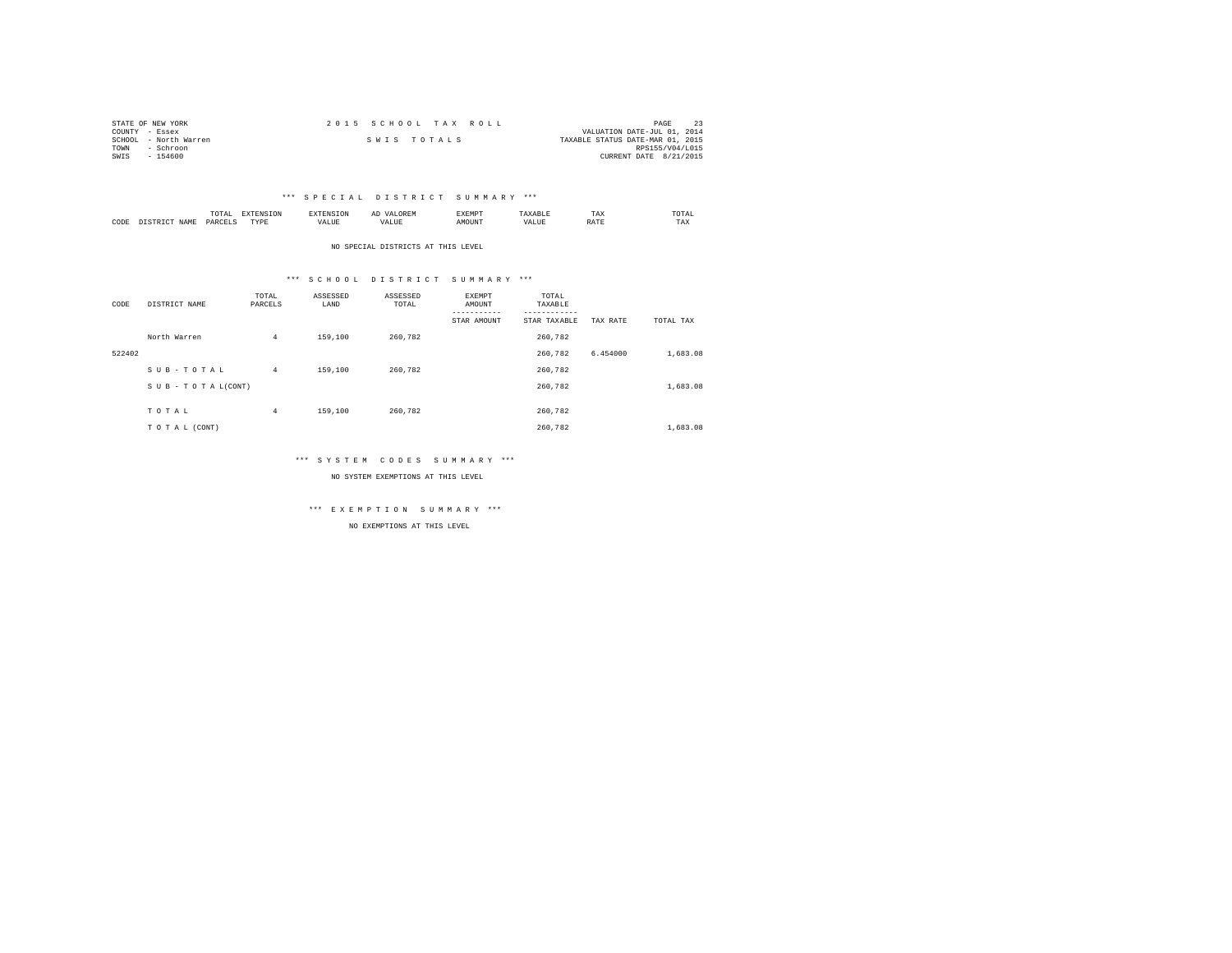| STATE OF NEW YORK     | 2015 SCHOOL TAX ROLL | PAGE                             |
|-----------------------|----------------------|----------------------------------|
| COUNTY - Essex        |                      | VALUATION DATE-JUL 01, 2014      |
| SCHOOL - North Warren | SWIS TOTALS          | TAXABLE STATUS DATE-MAR 01, 2015 |
| TOWN<br>- Schroon     |                      | RPS155/V04/L015                  |
| SWIS<br>$-154600$     |                      | CURRENT DATE 8/21/2015           |

|           |                      | 1 U 1 M 1<br>the contract of the contract of the contract of | --------------   |      | $\sim$<br>. |   | 1 A.A        | 'UIA.<br>the contract of the contract of the contract of |
|-----------|----------------------|--------------------------------------------------------------|------------------|------|-------------|---|--------------|----------------------------------------------------------|
| CODE<br>. | <b>NAME</b><br>11.12 | レムト                                                          | <b>TIDE</b><br>. | ALUE |             | n | <b>Shown</b> | TAX                                                      |

NO SPECIAL DISTRICTS AT THIS LEVEL

### \*\*\* S C H O O L D I S T R I C T S U M M A R Y \*\*\*

| CODE   | DISTRICT NAME   | TOTAL<br>PARCELS | ASSESSED<br>LAND | ASSESSED<br>TOTAL | EXEMPT<br>AMOUNT<br>----------- | TOTAL<br>TAXABLE<br>--------- |          |           |
|--------|-----------------|------------------|------------------|-------------------|---------------------------------|-------------------------------|----------|-----------|
|        |                 |                  |                  |                   | STAR AMOUNT                     | STAR TAXABLE                  | TAX RATE | TOTAL TAX |
|        | North Warren    | $\overline{4}$   | 159,100          | 260,782           |                                 | 260,782                       |          |           |
| 522402 |                 |                  |                  |                   |                                 | 260.782                       | 6.454000 | 1,683.08  |
|        | SUB-TOTAL       | $\overline{4}$   | 159,100          | 260.782           |                                 | 260.782                       |          |           |
|        | SUB-TOTAL(CONT) |                  |                  |                   |                                 | 260,782                       |          | 1,683.08  |
|        |                 |                  |                  |                   |                                 |                               |          |           |
|        | TOTAL           | $\overline{4}$   | 159,100          | 260.782           |                                 | 260,782                       |          |           |
|        | TO TAL (CONT)   |                  |                  |                   |                                 | 260.782                       |          | 1,683.08  |

### \*\*\* S Y S T E M C O D E S S U M M A R Y \*\*\*

NO SYSTEM EXEMPTIONS AT THIS LEVEL

\*\*\* E X E M P T I O N S U M M A R Y \*\*\*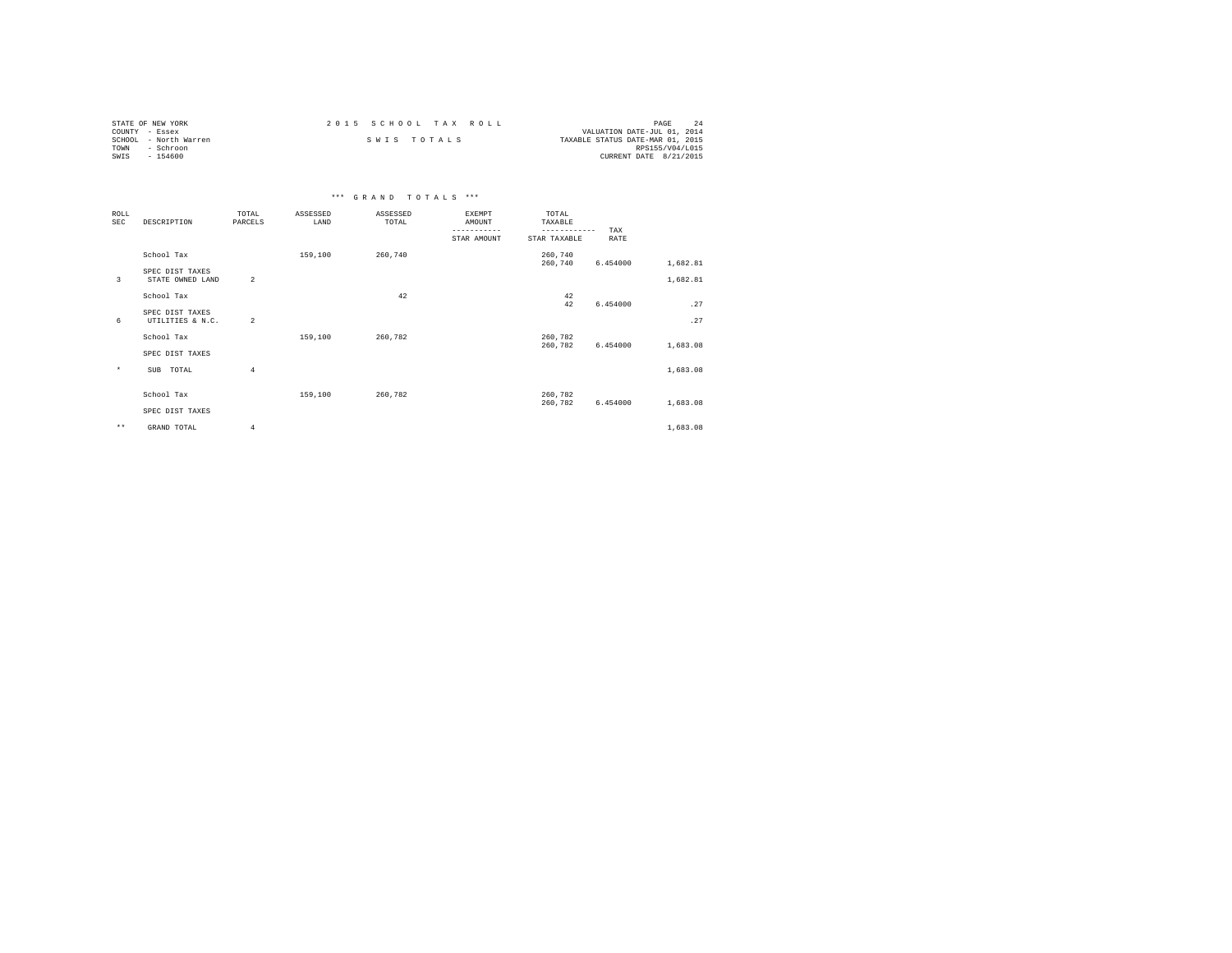| STATE OF NEW YORK     | 2015 SCHOOL TAX ROLL | PAGE                             |
|-----------------------|----------------------|----------------------------------|
| COUNTY - Essex        |                      | VALUATION DATE-JUL 01, 2014      |
| SCHOOL - North Warren | SWIS TOTALS          | TAXABLE STATUS DATE-MAR 01, 2015 |
| TOWN<br>- Schroon     |                      | RPS155/V04/L015                  |
| SWIS<br>$-154600$     |                      | CURRENT DATE 8/21/2015           |

|                           |                                     |                  |                  | *** GRAND TOTALS *** |                                                       |                                                  |             |          |
|---------------------------|-------------------------------------|------------------|------------------|----------------------|-------------------------------------------------------|--------------------------------------------------|-------------|----------|
| <b>ROLL</b><br><b>SEC</b> | DESCRIPTION                         | TOTAL<br>PARCELS | ASSESSED<br>LAND | ASSESSED<br>TOTAL    | <b>EXEMPT</b><br>AMOUNT<br>-----------<br>STAR AMOUNT | TOTAL<br>TAXABLE<br>------------<br>STAR TAXABLE | TAX<br>RATE |          |
|                           | School Tax                          |                  | 159,100          | 260,740              |                                                       | 260,740<br>260,740                               | 6.454000    | 1,682.81 |
| 3                         | SPEC DIST TAXES<br>STATE OWNED LAND | $\overline{2}$   |                  |                      |                                                       |                                                  |             | 1,682.81 |
|                           | School Tax                          |                  |                  | 42                   |                                                       | 42<br>42                                         | 6.454000    | .27      |
| 6                         | SPEC DIST TAXES<br>UTILITIES & N.C. | $\overline{2}$   |                  |                      |                                                       |                                                  |             | .27      |
|                           | School Tax                          |                  | 159,100          | 260.782              |                                                       | 260,782<br>260.782                               | 6.454000    | 1,683.08 |
|                           | SPEC DIST TAXES                     |                  |                  |                      |                                                       |                                                  |             |          |
| $\star$                   | SUB TOTAL                           | $\overline{4}$   |                  |                      |                                                       |                                                  |             | 1,683.08 |
|                           | School Tax                          |                  | 159,100          | 260.782              |                                                       | 260.782<br>260,782                               | 6.454000    | 1,683.08 |
|                           | SPEC DIST TAXES                     |                  |                  |                      |                                                       |                                                  |             |          |
| $\star\star$              | GRAND TOTAL                         | 4                |                  |                      |                                                       |                                                  |             | 1,683.08 |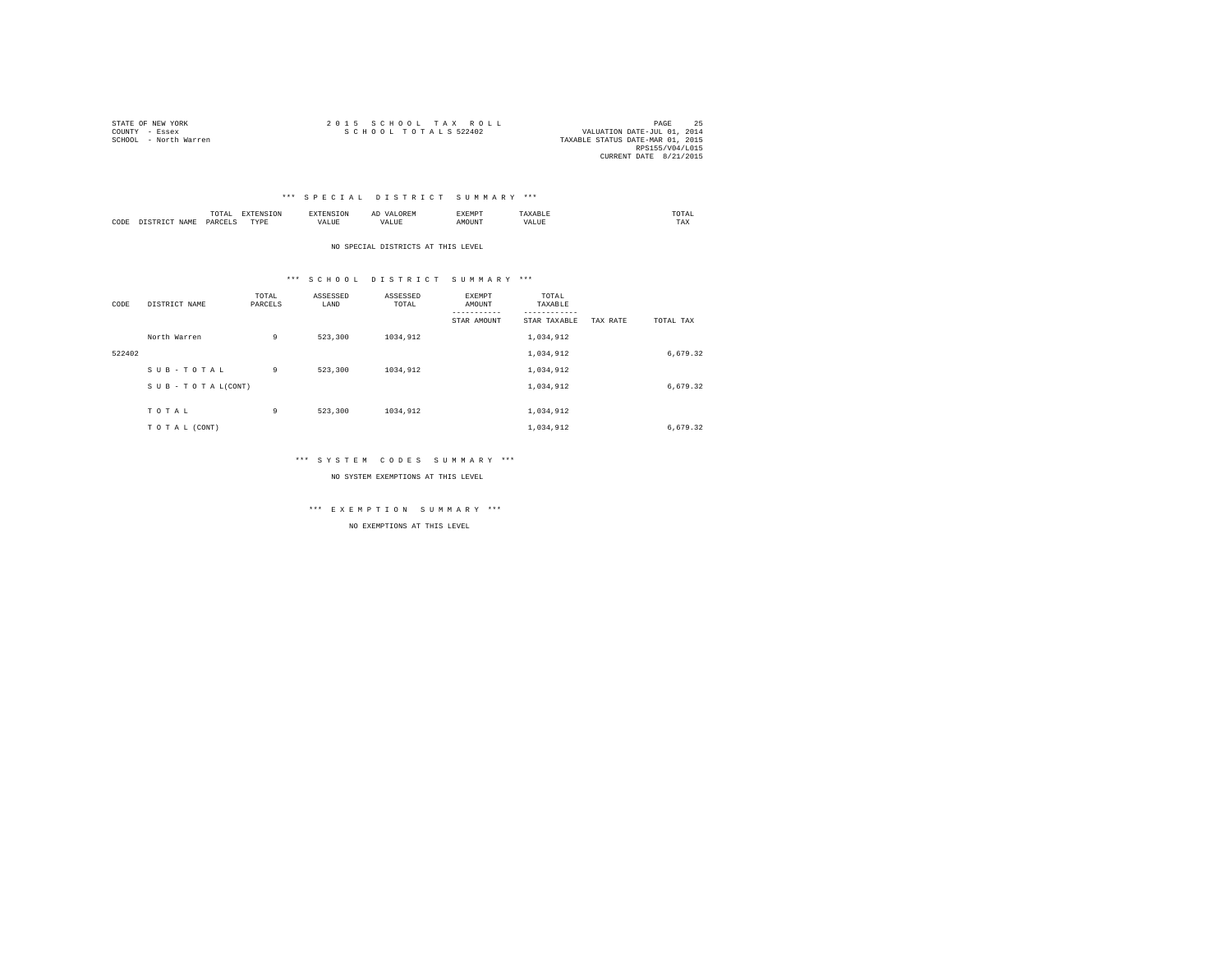| STATE OF NEW YORK     | 2015 SCHOOL TAX ROLL                                | PAGE            |  |
|-----------------------|-----------------------------------------------------|-----------------|--|
| COUNTY - Essex        | SCHOOL TOTALS 522402<br>VALUATION DATE-JUL 01, 2014 |                 |  |
| SCHOOL - North Warren | TAXABLE STATUS DATE-MAR 01, 2015                    |                 |  |
|                       |                                                     | RPS155/V04/L015 |  |
|                       | CURRENT DATE 8/21/2015                              |                 |  |

|      |           | UIAI<br>the contract of the contract of the contract of the contract of the contract of |           |                    |      | <br>'RMI |      | . JTAL .<br>the contract of the contract of the contract of |
|------|-----------|-----------------------------------------------------------------------------------------|-----------|--------------------|------|----------|------|-------------------------------------------------------------|
| CODE | ⊿ M™<br>. | — υΔR/T<br>.                                                                            | TVDE<br>. | --- - ---<br>VALUE | ALUM | אוזר     | $ -$ | ---<br>TAX                                                  |

NO SPECIAL DISTRICTS AT THIS LEVEL

### \*\*\* S C H O O L D I S T R I C T S U M M A R Y \*\*\*

| CODE   | DISTRICT NAME      | TOTAL<br>PARCELS | ASSESSED<br>LAND | ASSESSED<br>TOTAL | EXEMPT<br>AMOUNT<br>-----------<br>STAR AMOUNT | TOTAL<br>TAXABLE<br>---------<br>STAR TAXABLE | TAX RATE | TOTAL TAX |  |
|--------|--------------------|------------------|------------------|-------------------|------------------------------------------------|-----------------------------------------------|----------|-----------|--|
|        | North Warren       | 9                | 523,300          | 1034,912          |                                                | 1,034,912                                     |          |           |  |
| 522402 |                    |                  |                  |                   |                                                | 1,034,912                                     |          | 6,679.32  |  |
|        | SUB-TOTAL          | 9                | 523,300          | 1034,912          |                                                | 1,034,912                                     |          |           |  |
|        | SUB - TO TAL(CONT) |                  |                  |                   |                                                | 1,034,912                                     |          | 6,679.32  |  |
|        | TOTAL              | 9                | 523,300          | 1034,912          |                                                | 1,034,912                                     |          |           |  |
|        | TO TAL (CONT)      |                  |                  |                   |                                                | 1,034,912                                     |          | 6,679.32  |  |

### \*\*\* S Y S T E M C O D E S S U M M A R Y \*\*\*

NO SYSTEM EXEMPTIONS AT THIS LEVEL

\*\*\* E X E M P T I O N S U M M A R Y \*\*\*